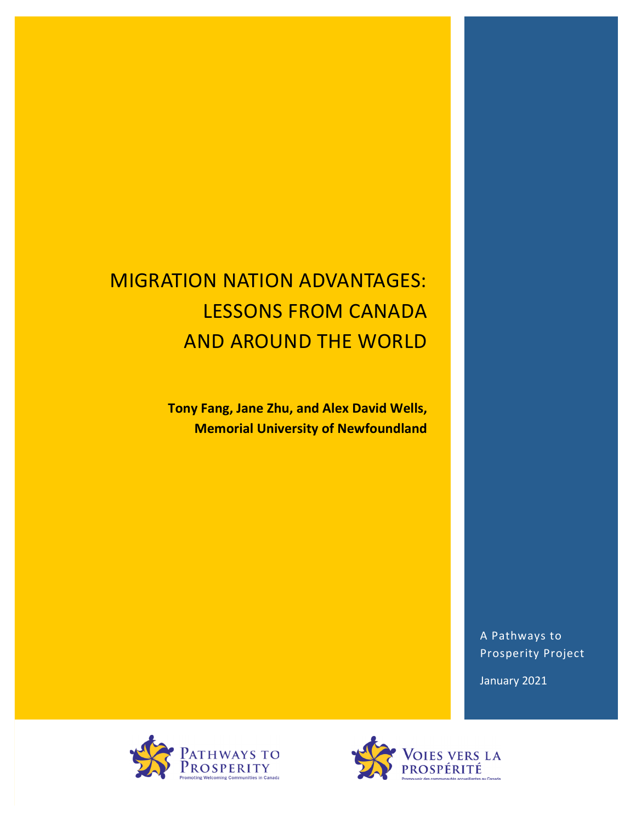# **MIGRATION NATION ADVANTAGES: LESSONS FROM CANADA AND AROUND THE WORLD**

**Tony Fang, Jane Zhu, and Alex David Wells, Memorial University of Newfoundland** 

> A Pathways to Prosperity Project

January 2021



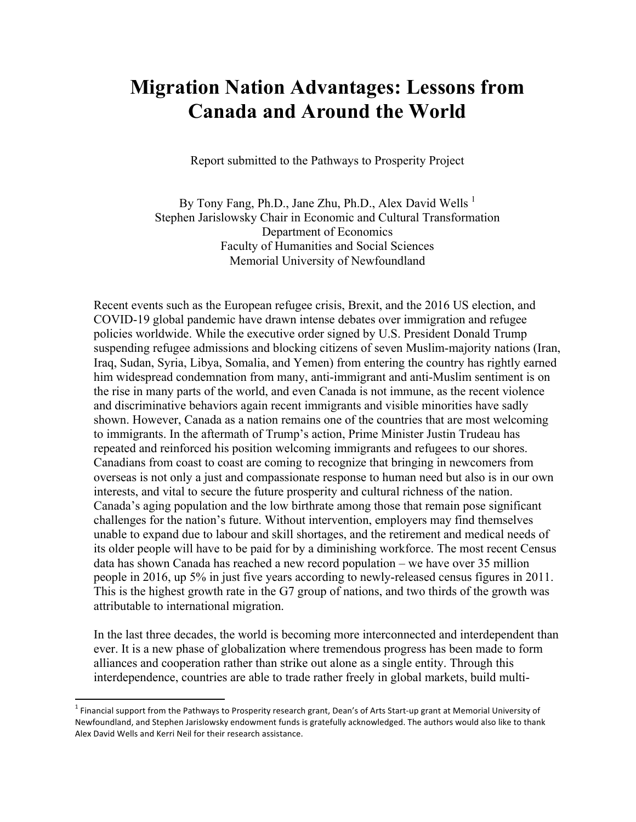## **Migration Nation Advantages: Lessons from Canada and Around the World**

Report submitted to the Pathways to Prosperity Project

By Tony Fang, Ph.D., Jane Zhu, Ph.D., Alex David Wells  $<sup>1</sup>$ </sup> Stephen Jarislowsky Chair in Economic and Cultural Transformation Department of Economics Faculty of Humanities and Social Sciences Memorial University of Newfoundland

Recent events such as the European refugee crisis, Brexit, and the 2016 US election, and COVID-19 global pandemic have drawn intense debates over immigration and refugee policies worldwide. While the executive order signed by U.S. President Donald Trump suspending refugee admissions and blocking citizens of seven Muslim-majority nations (Iran, Iraq, Sudan, Syria, Libya, Somalia, and Yemen) from entering the country has rightly earned him widespread condemnation from many, anti-immigrant and anti-Muslim sentiment is on the rise in many parts of the world, and even Canada is not immune, as the recent violence and discriminative behaviors again recent immigrants and visible minorities have sadly shown. However, Canada as a nation remains one of the countries that are most welcoming to immigrants. In the aftermath of Trump's action, Prime Minister Justin Trudeau has repeated and reinforced his position welcoming immigrants and refugees to our shores. Canadians from coast to coast are coming to recognize that bringing in newcomers from overseas is not only a just and compassionate response to human need but also is in our own interests, and vital to secure the future prosperity and cultural richness of the nation. Canada's aging population and the low birthrate among those that remain pose significant challenges for the nation's future. Without intervention, employers may find themselves unable to expand due to labour and skill shortages, and the retirement and medical needs of its older people will have to be paid for by a diminishing workforce. The most recent Census data has shown Canada has reached a new record population – we have over 35 million people in 2016, up 5% in just five years according to newly-released census figures in 2011. This is the highest growth rate in the G7 group of nations, and two thirds of the growth was attributable to international migration.

In the last three decades, the world is becoming more interconnected and interdependent than ever. It is a new phase of globalization where tremendous progress has been made to form alliances and cooperation rather than strike out alone as a single entity. Through this interdependence, countries are able to trade rather freely in global markets, build multi-

 $1$  Financial support from the Pathways to Prosperity research grant, Dean's of Arts Start-up grant at Memorial University of Newfoundland, and Stephen Jarislowsky endowment funds is gratefully acknowledged. The authors would also like to thank Alex David Wells and Kerri Neil for their research assistance.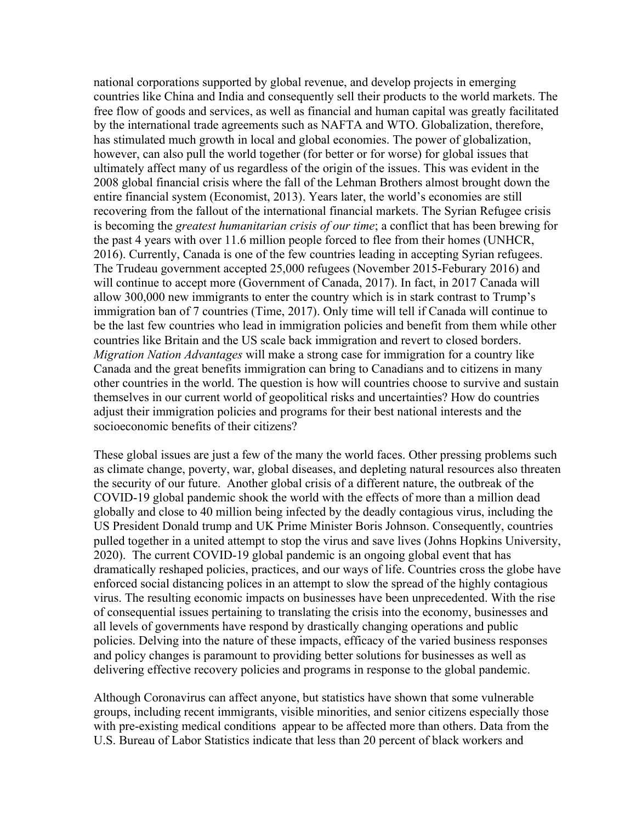national corporations supported by global revenue, and develop projects in emerging countries like China and India and consequently sell their products to the world markets. The free flow of goods and services, as well as financial and human capital was greatly facilitated by the international trade agreements such as NAFTA and WTO. Globalization, therefore, has stimulated much growth in local and global economies. The power of globalization, however, can also pull the world together (for better or for worse) for global issues that ultimately affect many of us regardless of the origin of the issues. This was evident in the 2008 global financial crisis where the fall of the Lehman Brothers almost brought down the entire financial system (Economist, 2013). Years later, the world's economies are still recovering from the fallout of the international financial markets. The Syrian Refugee crisis is becoming the *greatest humanitarian crisis of our time*; a conflict that has been brewing for the past 4 years with over 11.6 million people forced to flee from their homes (UNHCR, 2016). Currently, Canada is one of the few countries leading in accepting Syrian refugees. The Trudeau government accepted 25,000 refugees (November 2015-Feburary 2016) and will continue to accept more (Government of Canada, 2017). In fact, in 2017 Canada will allow 300,000 new immigrants to enter the country which is in stark contrast to Trump's immigration ban of 7 countries (Time, 2017). Only time will tell if Canada will continue to be the last few countries who lead in immigration policies and benefit from them while other countries like Britain and the US scale back immigration and revert to closed borders. *Migration Nation Advantages* will make a strong case for immigration for a country like Canada and the great benefits immigration can bring to Canadians and to citizens in many other countries in the world. The question is how will countries choose to survive and sustain themselves in our current world of geopolitical risks and uncertainties? How do countries adjust their immigration policies and programs for their best national interests and the socioeconomic benefits of their citizens?

These global issues are just a few of the many the world faces. Other pressing problems such as climate change, poverty, war, global diseases, and depleting natural resources also threaten the security of our future. Another global crisis of a different nature, the outbreak of the COVID-19 global pandemic shook the world with the effects of more than a million dead globally and close to 40 million being infected by the deadly contagious virus, including the US President Donald trump and UK Prime Minister Boris Johnson. Consequently, countries pulled together in a united attempt to stop the virus and save lives (Johns Hopkins University, 2020). The current COVID-19 global pandemic is an ongoing global event that has dramatically reshaped policies, practices, and our ways of life. Countries cross the globe have enforced social distancing polices in an attempt to slow the spread of the highly contagious virus. The resulting economic impacts on businesses have been unprecedented. With the rise of consequential issues pertaining to translating the crisis into the economy, businesses and all levels of governments have respond by drastically changing operations and public policies. Delving into the nature of these impacts, efficacy of the varied business responses and policy changes is paramount to providing better solutions for businesses as well as delivering effective recovery policies and programs in response to the global pandemic.

Although Coronavirus can affect anyone, but statistics have shown that some vulnerable groups, including recent immigrants, visible minorities, and senior citizens especially those with pre-existing medical conditions appear to be affected more than others. Data from the U.S. Bureau of Labor Statistics indicate that less than 20 percent of black workers and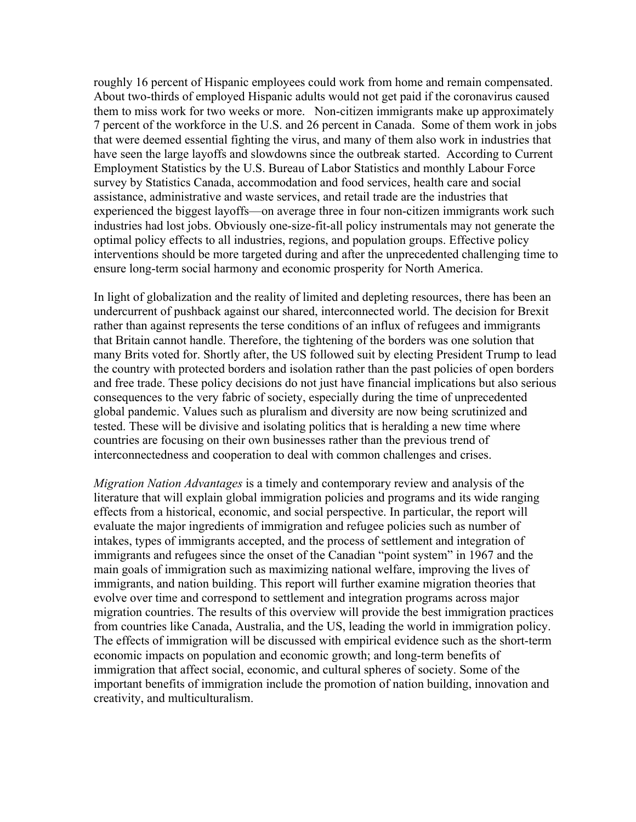roughly 16 percent of Hispanic employees could work from home and remain compensated. About two-thirds of employed Hispanic adults would not get paid if the coronavirus caused them to miss work for two weeks or more. Non-citizen immigrants make up approximately 7 percent of the workforce in the U.S. and 26 percent in Canada. Some of them work in jobs that were deemed essential fighting the virus, and many of them also work in industries that have seen the large layoffs and slowdowns since the outbreak started. According to Current Employment Statistics by the U.S. Bureau of Labor Statistics and monthly Labour Force survey by Statistics Canada, accommodation and food services, health care and social assistance, administrative and waste services, and retail trade are the industries that experienced the biggest layoffs—on average three in four non-citizen immigrants work such industries had lost jobs. Obviously one-size-fit-all policy instrumentals may not generate the optimal policy effects to all industries, regions, and population groups. Effective policy interventions should be more targeted during and after the unprecedented challenging time to ensure long-term social harmony and economic prosperity for North America.

In light of globalization and the reality of limited and depleting resources, there has been an undercurrent of pushback against our shared, interconnected world. The decision for Brexit rather than against represents the terse conditions of an influx of refugees and immigrants that Britain cannot handle. Therefore, the tightening of the borders was one solution that many Brits voted for. Shortly after, the US followed suit by electing President Trump to lead the country with protected borders and isolation rather than the past policies of open borders and free trade. These policy decisions do not just have financial implications but also serious consequences to the very fabric of society, especially during the time of unprecedented global pandemic. Values such as pluralism and diversity are now being scrutinized and tested. These will be divisive and isolating politics that is heralding a new time where countries are focusing on their own businesses rather than the previous trend of interconnectedness and cooperation to deal with common challenges and crises.

*Migration Nation Advantages* is a timely and contemporary review and analysis of the literature that will explain global immigration policies and programs and its wide ranging effects from a historical, economic, and social perspective. In particular, the report will evaluate the major ingredients of immigration and refugee policies such as number of intakes, types of immigrants accepted, and the process of settlement and integration of immigrants and refugees since the onset of the Canadian "point system" in 1967 and the main goals of immigration such as maximizing national welfare, improving the lives of immigrants, and nation building. This report will further examine migration theories that evolve over time and correspond to settlement and integration programs across major migration countries. The results of this overview will provide the best immigration practices from countries like Canada, Australia, and the US, leading the world in immigration policy. The effects of immigration will be discussed with empirical evidence such as the short-term economic impacts on population and economic growth; and long-term benefits of immigration that affect social, economic, and cultural spheres of society. Some of the important benefits of immigration include the promotion of nation building, innovation and creativity, and multiculturalism.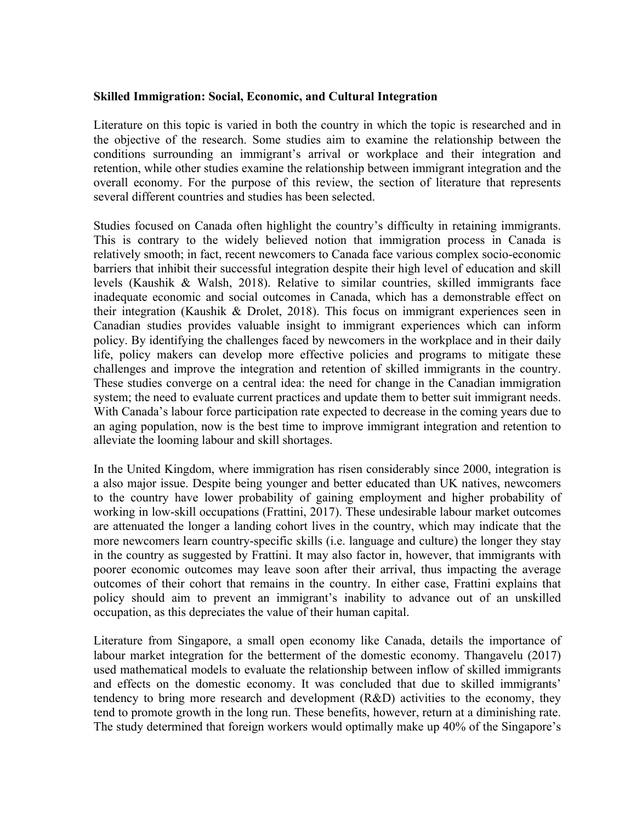#### **Skilled Immigration: Social, Economic, and Cultural Integration**

Literature on this topic is varied in both the country in which the topic is researched and in the objective of the research. Some studies aim to examine the relationship between the conditions surrounding an immigrant's arrival or workplace and their integration and retention, while other studies examine the relationship between immigrant integration and the overall economy. For the purpose of this review, the section of literature that represents several different countries and studies has been selected.

Studies focused on Canada often highlight the country's difficulty in retaining immigrants. This is contrary to the widely believed notion that immigration process in Canada is relatively smooth; in fact, recent newcomers to Canada face various complex socio-economic barriers that inhibit their successful integration despite their high level of education and skill levels (Kaushik & Walsh, 2018). Relative to similar countries, skilled immigrants face inadequate economic and social outcomes in Canada, which has a demonstrable effect on their integration (Kaushik & Drolet, 2018). This focus on immigrant experiences seen in Canadian studies provides valuable insight to immigrant experiences which can inform policy. By identifying the challenges faced by newcomers in the workplace and in their daily life, policy makers can develop more effective policies and programs to mitigate these challenges and improve the integration and retention of skilled immigrants in the country. These studies converge on a central idea: the need for change in the Canadian immigration system; the need to evaluate current practices and update them to better suit immigrant needs. With Canada's labour force participation rate expected to decrease in the coming years due to an aging population, now is the best time to improve immigrant integration and retention to alleviate the looming labour and skill shortages.

In the United Kingdom, where immigration has risen considerably since 2000, integration is a also major issue. Despite being younger and better educated than UK natives, newcomers to the country have lower probability of gaining employment and higher probability of working in low-skill occupations (Frattini, 2017). These undesirable labour market outcomes are attenuated the longer a landing cohort lives in the country, which may indicate that the more newcomers learn country-specific skills (i.e. language and culture) the longer they stay in the country as suggested by Frattini. It may also factor in, however, that immigrants with poorer economic outcomes may leave soon after their arrival, thus impacting the average outcomes of their cohort that remains in the country. In either case, Frattini explains that policy should aim to prevent an immigrant's inability to advance out of an unskilled occupation, as this depreciates the value of their human capital.

Literature from Singapore, a small open economy like Canada, details the importance of labour market integration for the betterment of the domestic economy. Thangavelu (2017) used mathematical models to evaluate the relationship between inflow of skilled immigrants and effects on the domestic economy. It was concluded that due to skilled immigrants' tendency to bring more research and development (R&D) activities to the economy, they tend to promote growth in the long run. These benefits, however, return at a diminishing rate. The study determined that foreign workers would optimally make up 40% of the Singapore's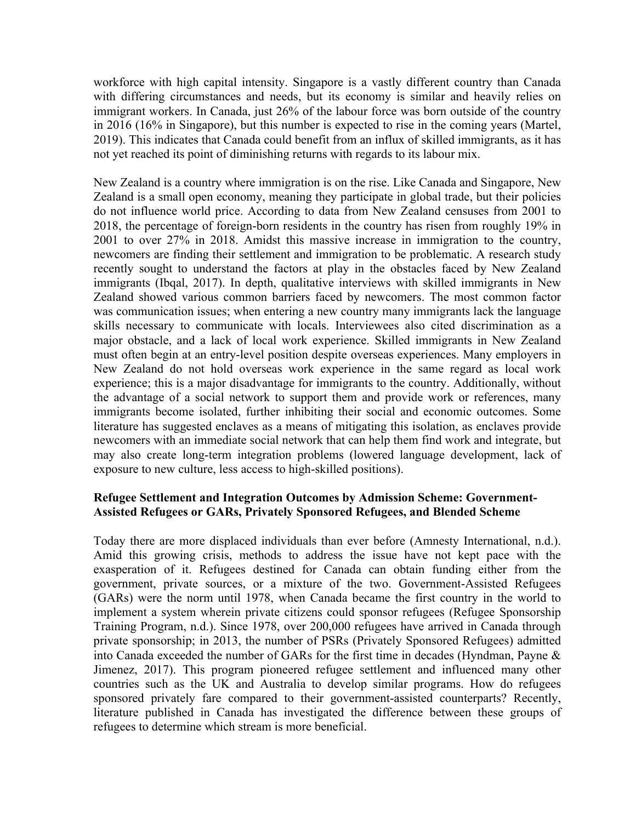workforce with high capital intensity. Singapore is a vastly different country than Canada with differing circumstances and needs, but its economy is similar and heavily relies on immigrant workers. In Canada, just 26% of the labour force was born outside of the country in 2016 (16% in Singapore), but this number is expected to rise in the coming years (Martel, 2019). This indicates that Canada could benefit from an influx of skilled immigrants, as it has not yet reached its point of diminishing returns with regards to its labour mix.

New Zealand is a country where immigration is on the rise. Like Canada and Singapore, New Zealand is a small open economy, meaning they participate in global trade, but their policies do not influence world price. According to data from New Zealand censuses from 2001 to 2018, the percentage of foreign-born residents in the country has risen from roughly 19% in 2001 to over 27% in 2018. Amidst this massive increase in immigration to the country, newcomers are finding their settlement and immigration to be problematic. A research study recently sought to understand the factors at play in the obstacles faced by New Zealand immigrants (Ibqal, 2017). In depth, qualitative interviews with skilled immigrants in New Zealand showed various common barriers faced by newcomers. The most common factor was communication issues; when entering a new country many immigrants lack the language skills necessary to communicate with locals. Interviewees also cited discrimination as a major obstacle, and a lack of local work experience. Skilled immigrants in New Zealand must often begin at an entry-level position despite overseas experiences. Many employers in New Zealand do not hold overseas work experience in the same regard as local work experience; this is a major disadvantage for immigrants to the country. Additionally, without the advantage of a social network to support them and provide work or references, many immigrants become isolated, further inhibiting their social and economic outcomes. Some literature has suggested enclaves as a means of mitigating this isolation, as enclaves provide newcomers with an immediate social network that can help them find work and integrate, but may also create long-term integration problems (lowered language development, lack of exposure to new culture, less access to high-skilled positions).

#### **Refugee Settlement and Integration Outcomes by Admission Scheme: Government-Assisted Refugees or GARs, Privately Sponsored Refugees, and Blended Scheme**

Today there are more displaced individuals than ever before (Amnesty International, n.d.). Amid this growing crisis, methods to address the issue have not kept pace with the exasperation of it. Refugees destined for Canada can obtain funding either from the government, private sources, or a mixture of the two. Government-Assisted Refugees (GARs) were the norm until 1978, when Canada became the first country in the world to implement a system wherein private citizens could sponsor refugees (Refugee Sponsorship Training Program, n.d.). Since 1978, over 200,000 refugees have arrived in Canada through private sponsorship; in 2013, the number of PSRs (Privately Sponsored Refugees) admitted into Canada exceeded the number of GARs for the first time in decades (Hyndman, Payne & Jimenez, 2017). This program pioneered refugee settlement and influenced many other countries such as the UK and Australia to develop similar programs. How do refugees sponsored privately fare compared to their government-assisted counterparts? Recently, literature published in Canada has investigated the difference between these groups of refugees to determine which stream is more beneficial.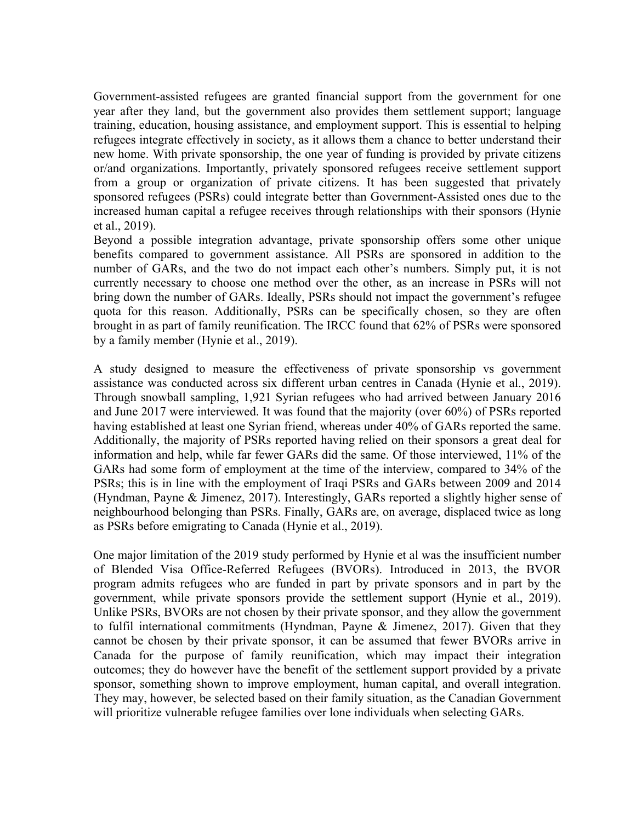Government-assisted refugees are granted financial support from the government for one year after they land, but the government also provides them settlement support; language training, education, housing assistance, and employment support. This is essential to helping refugees integrate effectively in society, as it allows them a chance to better understand their new home. With private sponsorship, the one year of funding is provided by private citizens or/and organizations. Importantly, privately sponsored refugees receive settlement support from a group or organization of private citizens. It has been suggested that privately sponsored refugees (PSRs) could integrate better than Government-Assisted ones due to the increased human capital a refugee receives through relationships with their sponsors (Hynie et al., 2019).

Beyond a possible integration advantage, private sponsorship offers some other unique benefits compared to government assistance. All PSRs are sponsored in addition to the number of GARs, and the two do not impact each other's numbers. Simply put, it is not currently necessary to choose one method over the other, as an increase in PSRs will not bring down the number of GARs. Ideally, PSRs should not impact the government's refugee quota for this reason. Additionally, PSRs can be specifically chosen, so they are often brought in as part of family reunification. The IRCC found that 62% of PSRs were sponsored by a family member (Hynie et al., 2019).

A study designed to measure the effectiveness of private sponsorship vs government assistance was conducted across six different urban centres in Canada (Hynie et al., 2019). Through snowball sampling, 1,921 Syrian refugees who had arrived between January 2016 and June 2017 were interviewed. It was found that the majority (over 60%) of PSRs reported having established at least one Syrian friend, whereas under 40% of GARs reported the same. Additionally, the majority of PSRs reported having relied on their sponsors a great deal for information and help, while far fewer GARs did the same. Of those interviewed, 11% of the GARs had some form of employment at the time of the interview, compared to 34% of the PSRs; this is in line with the employment of Iraqi PSRs and GARs between 2009 and 2014 (Hyndman, Payne & Jimenez, 2017). Interestingly, GARs reported a slightly higher sense of neighbourhood belonging than PSRs. Finally, GARs are, on average, displaced twice as long as PSRs before emigrating to Canada (Hynie et al., 2019).

One major limitation of the 2019 study performed by Hynie et al was the insufficient number of Blended Visa Office-Referred Refugees (BVORs). Introduced in 2013, the BVOR program admits refugees who are funded in part by private sponsors and in part by the government, while private sponsors provide the settlement support (Hynie et al., 2019). Unlike PSRs, BVORs are not chosen by their private sponsor, and they allow the government to fulfil international commitments (Hyndman, Payne & Jimenez, 2017). Given that they cannot be chosen by their private sponsor, it can be assumed that fewer BVORs arrive in Canada for the purpose of family reunification, which may impact their integration outcomes; they do however have the benefit of the settlement support provided by a private sponsor, something shown to improve employment, human capital, and overall integration. They may, however, be selected based on their family situation, as the Canadian Government will prioritize vulnerable refugee families over lone individuals when selecting GARs.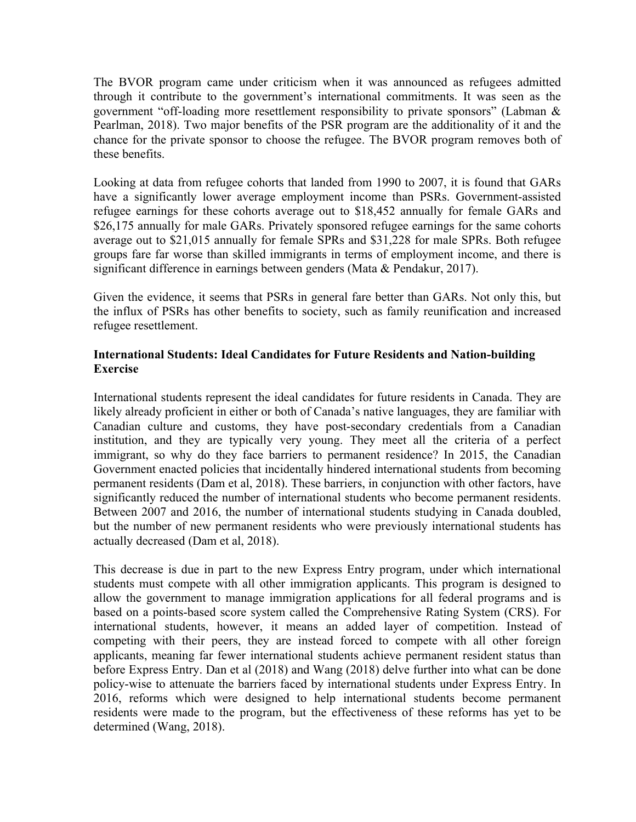The BVOR program came under criticism when it was announced as refugees admitted through it contribute to the government's international commitments. It was seen as the government "off-loading more resettlement responsibility to private sponsors" (Labman & Pearlman, 2018). Two major benefits of the PSR program are the additionality of it and the chance for the private sponsor to choose the refugee. The BVOR program removes both of these benefits.

Looking at data from refugee cohorts that landed from 1990 to 2007, it is found that GARs have a significantly lower average employment income than PSRs. Government-assisted refugee earnings for these cohorts average out to \$18,452 annually for female GARs and \$26,175 annually for male GARs. Privately sponsored refugee earnings for the same cohorts average out to \$21,015 annually for female SPRs and \$31,228 for male SPRs. Both refugee groups fare far worse than skilled immigrants in terms of employment income, and there is significant difference in earnings between genders (Mata & Pendakur, 2017).

Given the evidence, it seems that PSRs in general fare better than GARs. Not only this, but the influx of PSRs has other benefits to society, such as family reunification and increased refugee resettlement.

#### **International Students: Ideal Candidates for Future Residents and Nation-building Exercise**

International students represent the ideal candidates for future residents in Canada. They are likely already proficient in either or both of Canada's native languages, they are familiar with Canadian culture and customs, they have post-secondary credentials from a Canadian institution, and they are typically very young. They meet all the criteria of a perfect immigrant, so why do they face barriers to permanent residence? In 2015, the Canadian Government enacted policies that incidentally hindered international students from becoming permanent residents (Dam et al, 2018). These barriers, in conjunction with other factors, have significantly reduced the number of international students who become permanent residents. Between 2007 and 2016, the number of international students studying in Canada doubled, but the number of new permanent residents who were previously international students has actually decreased (Dam et al, 2018).

This decrease is due in part to the new Express Entry program, under which international students must compete with all other immigration applicants. This program is designed to allow the government to manage immigration applications for all federal programs and is based on a points-based score system called the Comprehensive Rating System (CRS). For international students, however, it means an added layer of competition. Instead of competing with their peers, they are instead forced to compete with all other foreign applicants, meaning far fewer international students achieve permanent resident status than before Express Entry. Dan et al (2018) and Wang (2018) delve further into what can be done policy-wise to attenuate the barriers faced by international students under Express Entry. In 2016, reforms which were designed to help international students become permanent residents were made to the program, but the effectiveness of these reforms has yet to be determined (Wang, 2018).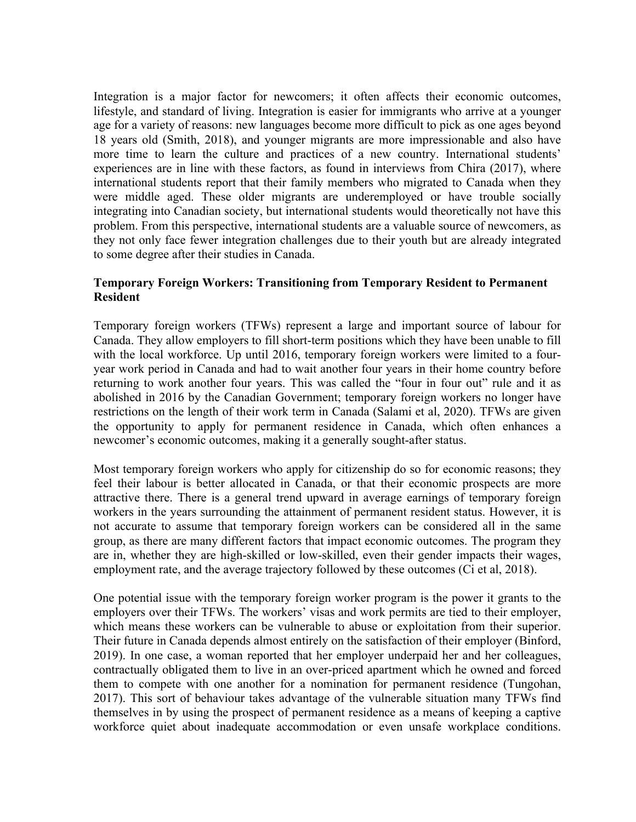Integration is a major factor for newcomers; it often affects their economic outcomes, lifestyle, and standard of living. Integration is easier for immigrants who arrive at a younger age for a variety of reasons: new languages become more difficult to pick as one ages beyond 18 years old (Smith, 2018), and younger migrants are more impressionable and also have more time to learn the culture and practices of a new country. International students' experiences are in line with these factors, as found in interviews from Chira (2017), where international students report that their family members who migrated to Canada when they were middle aged. These older migrants are underemployed or have trouble socially integrating into Canadian society, but international students would theoretically not have this problem. From this perspective, international students are a valuable source of newcomers, as they not only face fewer integration challenges due to their youth but are already integrated to some degree after their studies in Canada.

#### **Temporary Foreign Workers: Transitioning from Temporary Resident to Permanent Resident**

Temporary foreign workers (TFWs) represent a large and important source of labour for Canada. They allow employers to fill short-term positions which they have been unable to fill with the local workforce. Up until 2016, temporary foreign workers were limited to a fouryear work period in Canada and had to wait another four years in their home country before returning to work another four years. This was called the "four in four out" rule and it as abolished in 2016 by the Canadian Government; temporary foreign workers no longer have restrictions on the length of their work term in Canada (Salami et al, 2020). TFWs are given the opportunity to apply for permanent residence in Canada, which often enhances a newcomer's economic outcomes, making it a generally sought-after status.

Most temporary foreign workers who apply for citizenship do so for economic reasons; they feel their labour is better allocated in Canada, or that their economic prospects are more attractive there. There is a general trend upward in average earnings of temporary foreign workers in the years surrounding the attainment of permanent resident status. However, it is not accurate to assume that temporary foreign workers can be considered all in the same group, as there are many different factors that impact economic outcomes. The program they are in, whether they are high-skilled or low-skilled, even their gender impacts their wages, employment rate, and the average trajectory followed by these outcomes (Ci et al, 2018).

One potential issue with the temporary foreign worker program is the power it grants to the employers over their TFWs. The workers' visas and work permits are tied to their employer, which means these workers can be vulnerable to abuse or exploitation from their superior. Their future in Canada depends almost entirely on the satisfaction of their employer (Binford, 2019). In one case, a woman reported that her employer underpaid her and her colleagues, contractually obligated them to live in an over-priced apartment which he owned and forced them to compete with one another for a nomination for permanent residence (Tungohan, 2017). This sort of behaviour takes advantage of the vulnerable situation many TFWs find themselves in by using the prospect of permanent residence as a means of keeping a captive workforce quiet about inadequate accommodation or even unsafe workplace conditions.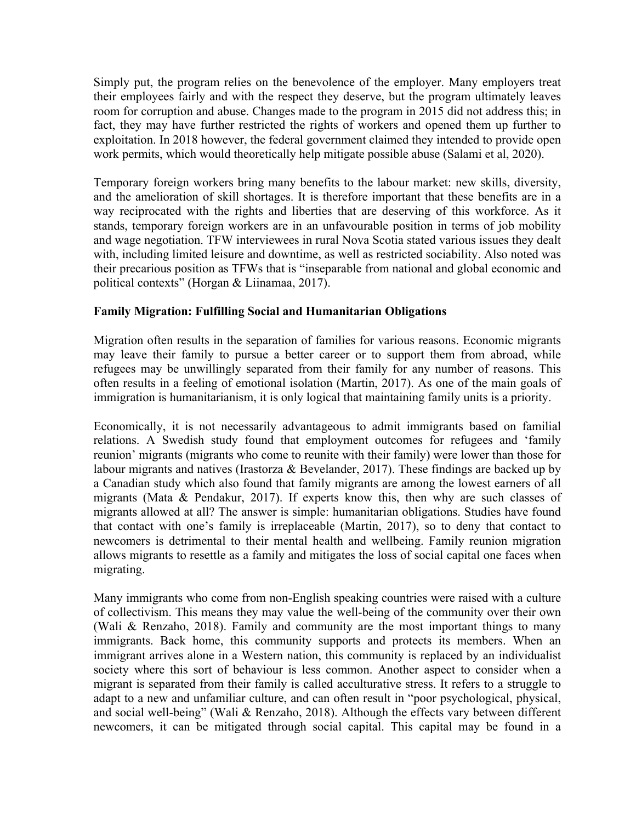Simply put, the program relies on the benevolence of the employer. Many employers treat their employees fairly and with the respect they deserve, but the program ultimately leaves room for corruption and abuse. Changes made to the program in 2015 did not address this; in fact, they may have further restricted the rights of workers and opened them up further to exploitation. In 2018 however, the federal government claimed they intended to provide open work permits, which would theoretically help mitigate possible abuse (Salami et al, 2020).

Temporary foreign workers bring many benefits to the labour market: new skills, diversity, and the amelioration of skill shortages. It is therefore important that these benefits are in a way reciprocated with the rights and liberties that are deserving of this workforce. As it stands, temporary foreign workers are in an unfavourable position in terms of job mobility and wage negotiation. TFW interviewees in rural Nova Scotia stated various issues they dealt with, including limited leisure and downtime, as well as restricted sociability. Also noted was their precarious position as TFWs that is "inseparable from national and global economic and political contexts" (Horgan & Liinamaa, 2017).

#### **Family Migration: Fulfilling Social and Humanitarian Obligations**

Migration often results in the separation of families for various reasons. Economic migrants may leave their family to pursue a better career or to support them from abroad, while refugees may be unwillingly separated from their family for any number of reasons. This often results in a feeling of emotional isolation (Martin, 2017). As one of the main goals of immigration is humanitarianism, it is only logical that maintaining family units is a priority.

Economically, it is not necessarily advantageous to admit immigrants based on familial relations. A Swedish study found that employment outcomes for refugees and 'family reunion' migrants (migrants who come to reunite with their family) were lower than those for labour migrants and natives (Irastorza & Bevelander, 2017). These findings are backed up by a Canadian study which also found that family migrants are among the lowest earners of all migrants (Mata & Pendakur, 2017). If experts know this, then why are such classes of migrants allowed at all? The answer is simple: humanitarian obligations. Studies have found that contact with one's family is irreplaceable (Martin, 2017), so to deny that contact to newcomers is detrimental to their mental health and wellbeing. Family reunion migration allows migrants to resettle as a family and mitigates the loss of social capital one faces when migrating.

Many immigrants who come from non-English speaking countries were raised with a culture of collectivism. This means they may value the well-being of the community over their own (Wali & Renzaho, 2018). Family and community are the most important things to many immigrants. Back home, this community supports and protects its members. When an immigrant arrives alone in a Western nation, this community is replaced by an individualist society where this sort of behaviour is less common. Another aspect to consider when a migrant is separated from their family is called acculturative stress. It refers to a struggle to adapt to a new and unfamiliar culture, and can often result in "poor psychological, physical, and social well-being" (Wali & Renzaho, 2018). Although the effects vary between different newcomers, it can be mitigated through social capital. This capital may be found in a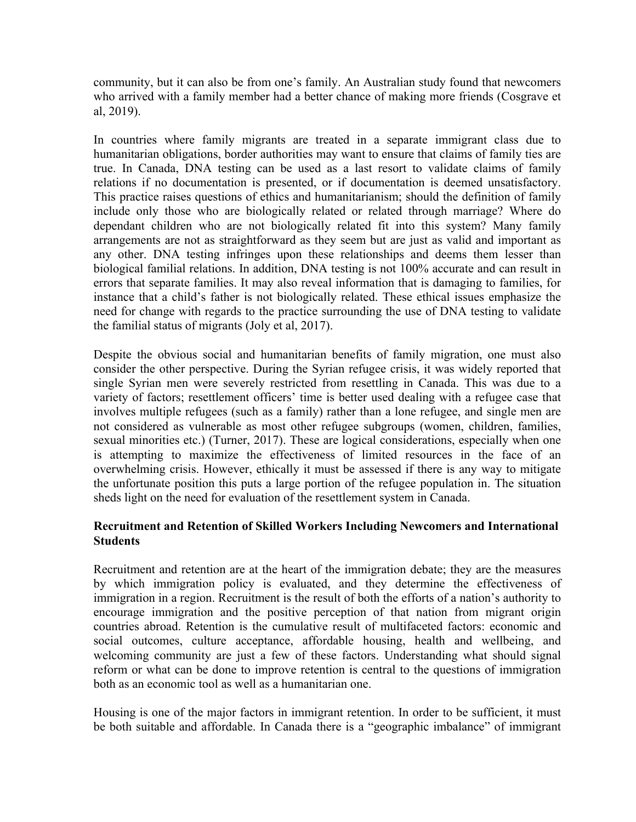community, but it can also be from one's family. An Australian study found that newcomers who arrived with a family member had a better chance of making more friends (Cosgrave et al, 2019).

In countries where family migrants are treated in a separate immigrant class due to humanitarian obligations, border authorities may want to ensure that claims of family ties are true. In Canada, DNA testing can be used as a last resort to validate claims of family relations if no documentation is presented, or if documentation is deemed unsatisfactory. This practice raises questions of ethics and humanitarianism; should the definition of family include only those who are biologically related or related through marriage? Where do dependant children who are not biologically related fit into this system? Many family arrangements are not as straightforward as they seem but are just as valid and important as any other. DNA testing infringes upon these relationships and deems them lesser than biological familial relations. In addition, DNA testing is not 100% accurate and can result in errors that separate families. It may also reveal information that is damaging to families, for instance that a child's father is not biologically related. These ethical issues emphasize the need for change with regards to the practice surrounding the use of DNA testing to validate the familial status of migrants (Joly et al, 2017).

Despite the obvious social and humanitarian benefits of family migration, one must also consider the other perspective. During the Syrian refugee crisis, it was widely reported that single Syrian men were severely restricted from resettling in Canada. This was due to a variety of factors; resettlement officers' time is better used dealing with a refugee case that involves multiple refugees (such as a family) rather than a lone refugee, and single men are not considered as vulnerable as most other refugee subgroups (women, children, families, sexual minorities etc.) (Turner, 2017). These are logical considerations, especially when one is attempting to maximize the effectiveness of limited resources in the face of an overwhelming crisis. However, ethically it must be assessed if there is any way to mitigate the unfortunate position this puts a large portion of the refugee population in. The situation sheds light on the need for evaluation of the resettlement system in Canada.

#### **Recruitment and Retention of Skilled Workers Including Newcomers and International Students**

Recruitment and retention are at the heart of the immigration debate; they are the measures by which immigration policy is evaluated, and they determine the effectiveness of immigration in a region. Recruitment is the result of both the efforts of a nation's authority to encourage immigration and the positive perception of that nation from migrant origin countries abroad. Retention is the cumulative result of multifaceted factors: economic and social outcomes, culture acceptance, affordable housing, health and wellbeing, and welcoming community are just a few of these factors. Understanding what should signal reform or what can be done to improve retention is central to the questions of immigration both as an economic tool as well as a humanitarian one.

Housing is one of the major factors in immigrant retention. In order to be sufficient, it must be both suitable and affordable. In Canada there is a "geographic imbalance" of immigrant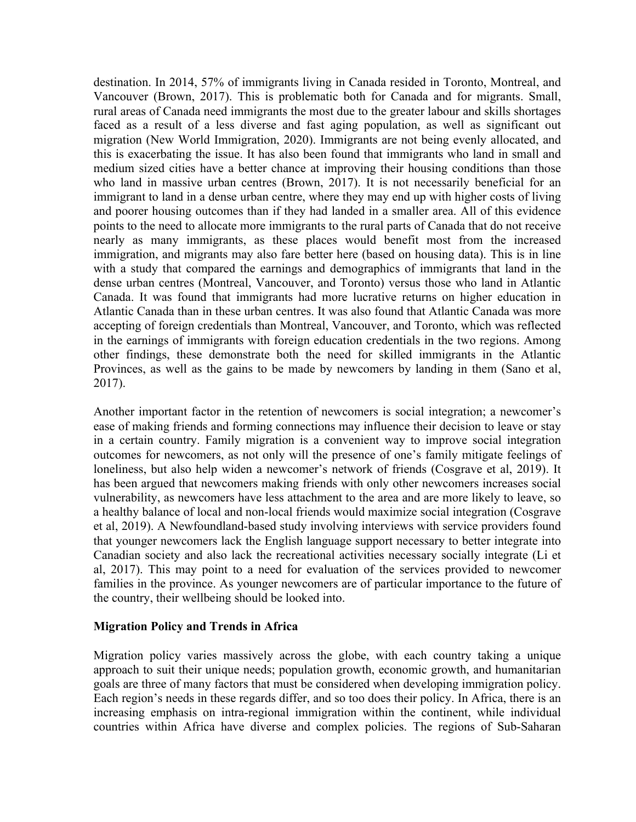destination. In 2014, 57% of immigrants living in Canada resided in Toronto, Montreal, and Vancouver (Brown, 2017). This is problematic both for Canada and for migrants. Small, rural areas of Canada need immigrants the most due to the greater labour and skills shortages faced as a result of a less diverse and fast aging population, as well as significant out migration (New World Immigration, 2020). Immigrants are not being evenly allocated, and this is exacerbating the issue. It has also been found that immigrants who land in small and medium sized cities have a better chance at improving their housing conditions than those who land in massive urban centres (Brown, 2017). It is not necessarily beneficial for an immigrant to land in a dense urban centre, where they may end up with higher costs of living and poorer housing outcomes than if they had landed in a smaller area. All of this evidence points to the need to allocate more immigrants to the rural parts of Canada that do not receive nearly as many immigrants, as these places would benefit most from the increased immigration, and migrants may also fare better here (based on housing data). This is in line with a study that compared the earnings and demographics of immigrants that land in the dense urban centres (Montreal, Vancouver, and Toronto) versus those who land in Atlantic Canada. It was found that immigrants had more lucrative returns on higher education in Atlantic Canada than in these urban centres. It was also found that Atlantic Canada was more accepting of foreign credentials than Montreal, Vancouver, and Toronto, which was reflected in the earnings of immigrants with foreign education credentials in the two regions. Among other findings, these demonstrate both the need for skilled immigrants in the Atlantic Provinces, as well as the gains to be made by newcomers by landing in them (Sano et al, 2017).

Another important factor in the retention of newcomers is social integration; a newcomer's ease of making friends and forming connections may influence their decision to leave or stay in a certain country. Family migration is a convenient way to improve social integration outcomes for newcomers, as not only will the presence of one's family mitigate feelings of loneliness, but also help widen a newcomer's network of friends (Cosgrave et al, 2019). It has been argued that newcomers making friends with only other newcomers increases social vulnerability, as newcomers have less attachment to the area and are more likely to leave, so a healthy balance of local and non-local friends would maximize social integration (Cosgrave et al, 2019). A Newfoundland-based study involving interviews with service providers found that younger newcomers lack the English language support necessary to better integrate into Canadian society and also lack the recreational activities necessary socially integrate (Li et al, 2017). This may point to a need for evaluation of the services provided to newcomer families in the province. As younger newcomers are of particular importance to the future of the country, their wellbeing should be looked into.

#### **Migration Policy and Trends in Africa**

Migration policy varies massively across the globe, with each country taking a unique approach to suit their unique needs; population growth, economic growth, and humanitarian goals are three of many factors that must be considered when developing immigration policy. Each region's needs in these regards differ, and so too does their policy. In Africa, there is an increasing emphasis on intra-regional immigration within the continent, while individual countries within Africa have diverse and complex policies. The regions of Sub-Saharan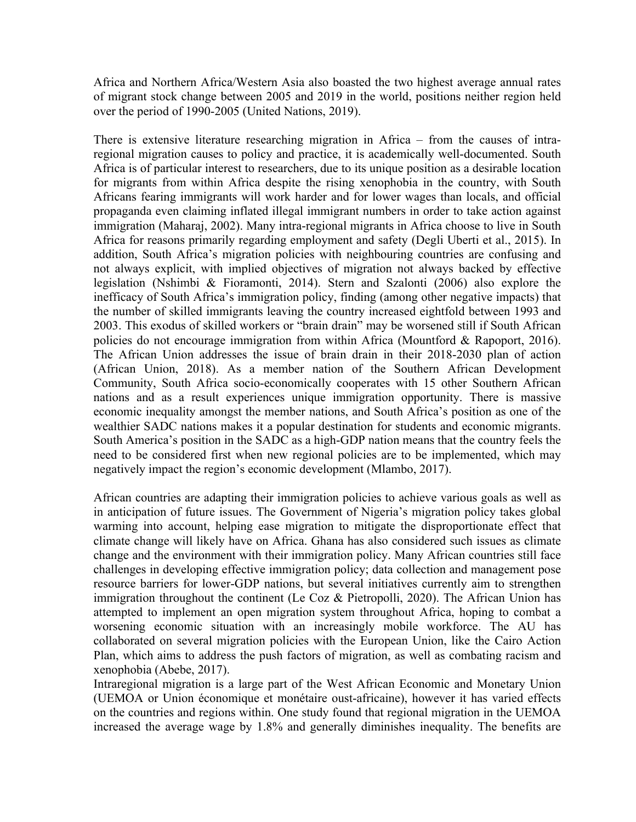Africa and Northern Africa/Western Asia also boasted the two highest average annual rates of migrant stock change between 2005 and 2019 in the world, positions neither region held over the period of 1990-2005 (United Nations, 2019).

There is extensive literature researching migration in Africa – from the causes of intraregional migration causes to policy and practice, it is academically well-documented. South Africa is of particular interest to researchers, due to its unique position as a desirable location for migrants from within Africa despite the rising xenophobia in the country, with South Africans fearing immigrants will work harder and for lower wages than locals, and official propaganda even claiming inflated illegal immigrant numbers in order to take action against immigration (Maharaj, 2002). Many intra-regional migrants in Africa choose to live in South Africa for reasons primarily regarding employment and safety (Degli Uberti et al., 2015). In addition, South Africa's migration policies with neighbouring countries are confusing and not always explicit, with implied objectives of migration not always backed by effective legislation (Nshimbi & Fioramonti, 2014). Stern and Szalonti (2006) also explore the inefficacy of South Africa's immigration policy, finding (among other negative impacts) that the number of skilled immigrants leaving the country increased eightfold between 1993 and 2003. This exodus of skilled workers or "brain drain" may be worsened still if South African policies do not encourage immigration from within Africa (Mountford & Rapoport, 2016). The African Union addresses the issue of brain drain in their 2018-2030 plan of action (African Union, 2018). As a member nation of the Southern African Development Community, South Africa socio-economically cooperates with 15 other Southern African nations and as a result experiences unique immigration opportunity. There is massive economic inequality amongst the member nations, and South Africa's position as one of the wealthier SADC nations makes it a popular destination for students and economic migrants. South America's position in the SADC as a high-GDP nation means that the country feels the need to be considered first when new regional policies are to be implemented, which may negatively impact the region's economic development (Mlambo, 2017).

African countries are adapting their immigration policies to achieve various goals as well as in anticipation of future issues. The Government of Nigeria's migration policy takes global warming into account, helping ease migration to mitigate the disproportionate effect that climate change will likely have on Africa. Ghana has also considered such issues as climate change and the environment with their immigration policy. Many African countries still face challenges in developing effective immigration policy; data collection and management pose resource barriers for lower-GDP nations, but several initiatives currently aim to strengthen immigration throughout the continent (Le Coz & Pietropolli, 2020). The African Union has attempted to implement an open migration system throughout Africa, hoping to combat a worsening economic situation with an increasingly mobile workforce. The AU has collaborated on several migration policies with the European Union, like the Cairo Action Plan, which aims to address the push factors of migration, as well as combating racism and xenophobia (Abebe, 2017).

Intraregional migration is a large part of the West African Economic and Monetary Union (UEMOA or Union économique et monétaire oust-africaine), however it has varied effects on the countries and regions within. One study found that regional migration in the UEMOA increased the average wage by 1.8% and generally diminishes inequality. The benefits are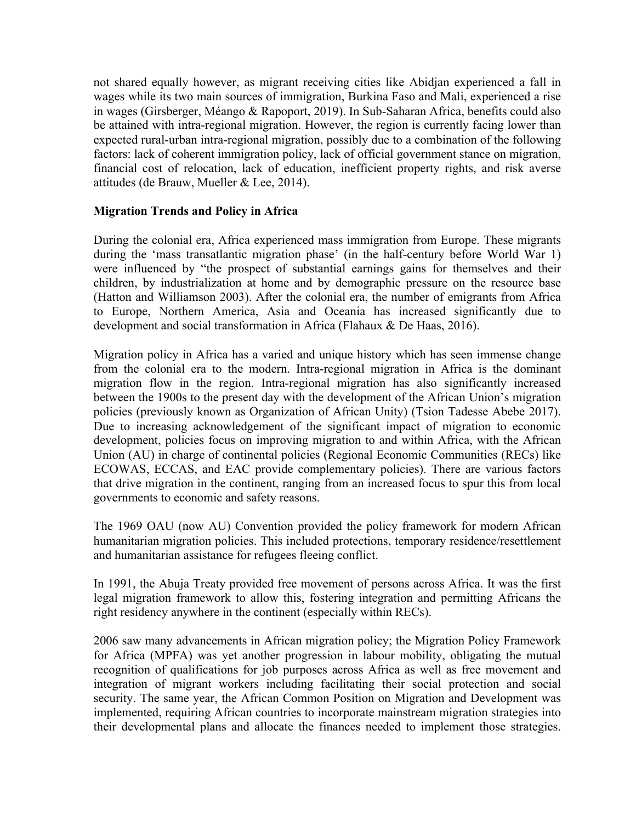not shared equally however, as migrant receiving cities like Abidjan experienced a fall in wages while its two main sources of immigration, Burkina Faso and Mali, experienced a rise in wages (Girsberger, Méango & Rapoport, 2019). In Sub-Saharan Africa, benefits could also be attained with intra-regional migration. However, the region is currently facing lower than expected rural-urban intra-regional migration, possibly due to a combination of the following factors: lack of coherent immigration policy, lack of official government stance on migration, financial cost of relocation, lack of education, inefficient property rights, and risk averse attitudes (de Brauw, Mueller & Lee, 2014).

#### **Migration Trends and Policy in Africa**

During the colonial era, Africa experienced mass immigration from Europe. These migrants during the 'mass transatlantic migration phase' (in the half-century before World War 1) were influenced by "the prospect of substantial earnings gains for themselves and their children, by industrialization at home and by demographic pressure on the resource base (Hatton and Williamson 2003). After the colonial era, the number of emigrants from Africa to Europe, Northern America, Asia and Oceania has increased significantly due to development and social transformation in Africa (Flahaux & De Haas, 2016).

Migration policy in Africa has a varied and unique history which has seen immense change from the colonial era to the modern. Intra-regional migration in Africa is the dominant migration flow in the region. Intra-regional migration has also significantly increased between the 1900s to the present day with the development of the African Union's migration policies (previously known as Organization of African Unity) (Tsion Tadesse Abebe 2017). Due to increasing acknowledgement of the significant impact of migration to economic development, policies focus on improving migration to and within Africa, with the African Union (AU) in charge of continental policies (Regional Economic Communities (RECs) like ECOWAS, ECCAS, and EAC provide complementary policies). There are various factors that drive migration in the continent, ranging from an increased focus to spur this from local governments to economic and safety reasons.

The 1969 OAU (now AU) Convention provided the policy framework for modern African humanitarian migration policies. This included protections, temporary residence/resettlement and humanitarian assistance for refugees fleeing conflict.

In 1991, the Abuja Treaty provided free movement of persons across Africa. It was the first legal migration framework to allow this, fostering integration and permitting Africans the right residency anywhere in the continent (especially within RECs).

2006 saw many advancements in African migration policy; the Migration Policy Framework for Africa (MPFA) was yet another progression in labour mobility, obligating the mutual recognition of qualifications for job purposes across Africa as well as free movement and integration of migrant workers including facilitating their social protection and social security. The same year, the African Common Position on Migration and Development was implemented, requiring African countries to incorporate mainstream migration strategies into their developmental plans and allocate the finances needed to implement those strategies.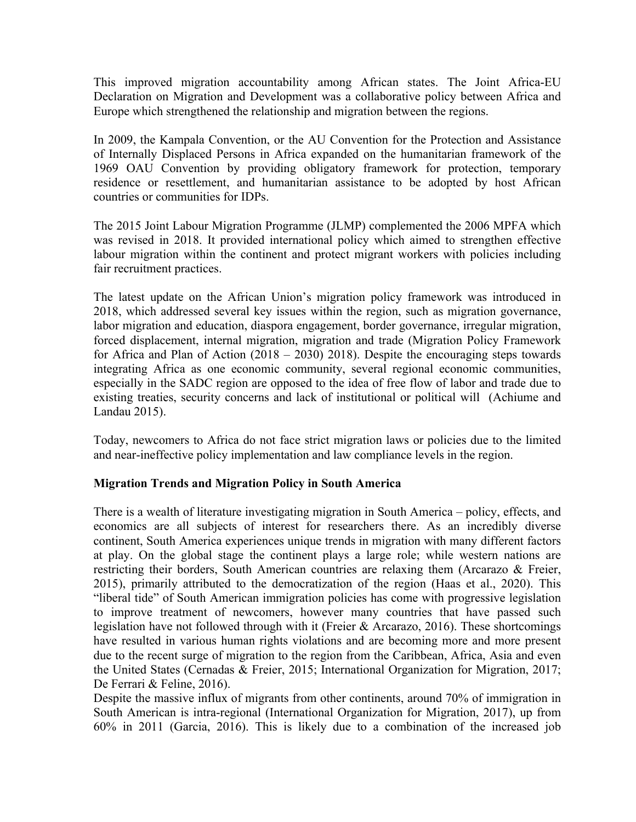This improved migration accountability among African states. The Joint Africa-EU Declaration on Migration and Development was a collaborative policy between Africa and Europe which strengthened the relationship and migration between the regions.

In 2009, the Kampala Convention, or the AU Convention for the Protection and Assistance of Internally Displaced Persons in Africa expanded on the humanitarian framework of the 1969 OAU Convention by providing obligatory framework for protection, temporary residence or resettlement, and humanitarian assistance to be adopted by host African countries or communities for IDPs.

The 2015 Joint Labour Migration Programme (JLMP) complemented the 2006 MPFA which was revised in 2018. It provided international policy which aimed to strengthen effective labour migration within the continent and protect migrant workers with policies including fair recruitment practices.

The latest update on the African Union's migration policy framework was introduced in 2018, which addressed several key issues within the region, such as migration governance, labor migration and education, diaspora engagement, border governance, irregular migration, forced displacement, internal migration, migration and trade (Migration Policy Framework for Africa and Plan of Action (2018 – 2030) 2018). Despite the encouraging steps towards integrating Africa as one economic community, several regional economic communities, especially in the SADC region are opposed to the idea of free flow of labor and trade due to existing treaties, security concerns and lack of institutional or political will (Achiume and Landau 2015).

Today, newcomers to Africa do not face strict migration laws or policies due to the limited and near-ineffective policy implementation and law compliance levels in the region.

#### **Migration Trends and Migration Policy in South America**

There is a wealth of literature investigating migration in South America – policy, effects, and economics are all subjects of interest for researchers there. As an incredibly diverse continent, South America experiences unique trends in migration with many different factors at play. On the global stage the continent plays a large role; while western nations are restricting their borders, South American countries are relaxing them (Arcarazo & Freier, 2015), primarily attributed to the democratization of the region (Haas et al., 2020). This "liberal tide" of South American immigration policies has come with progressive legislation to improve treatment of newcomers, however many countries that have passed such legislation have not followed through with it (Freier & Arcarazo, 2016). These shortcomings have resulted in various human rights violations and are becoming more and more present due to the recent surge of migration to the region from the Caribbean, Africa, Asia and even the United States (Cernadas & Freier, 2015; International Organization for Migration, 2017; De Ferrari & Feline, 2016).

Despite the massive influx of migrants from other continents, around 70% of immigration in South American is intra-regional (International Organization for Migration, 2017), up from 60% in 2011 (Garcia, 2016). This is likely due to a combination of the increased job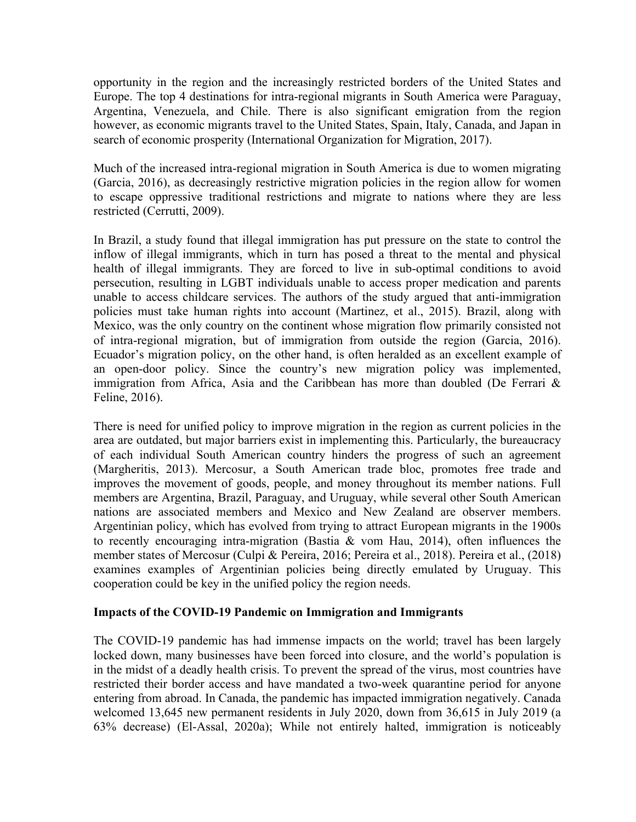opportunity in the region and the increasingly restricted borders of the United States and Europe. The top 4 destinations for intra-regional migrants in South America were Paraguay, Argentina, Venezuela, and Chile. There is also significant emigration from the region however, as economic migrants travel to the United States, Spain, Italy, Canada, and Japan in search of economic prosperity (International Organization for Migration, 2017).

Much of the increased intra-regional migration in South America is due to women migrating (Garcia, 2016), as decreasingly restrictive migration policies in the region allow for women to escape oppressive traditional restrictions and migrate to nations where they are less restricted (Cerrutti, 2009).

In Brazil, a study found that illegal immigration has put pressure on the state to control the inflow of illegal immigrants, which in turn has posed a threat to the mental and physical health of illegal immigrants. They are forced to live in sub-optimal conditions to avoid persecution, resulting in LGBT individuals unable to access proper medication and parents unable to access childcare services. The authors of the study argued that anti-immigration policies must take human rights into account (Martinez, et al., 2015). Brazil, along with Mexico, was the only country on the continent whose migration flow primarily consisted not of intra-regional migration, but of immigration from outside the region (Garcia, 2016). Ecuador's migration policy, on the other hand, is often heralded as an excellent example of an open-door policy. Since the country's new migration policy was implemented, immigration from Africa, Asia and the Caribbean has more than doubled (De Ferrari  $\&$ Feline, 2016).

There is need for unified policy to improve migration in the region as current policies in the area are outdated, but major barriers exist in implementing this. Particularly, the bureaucracy of each individual South American country hinders the progress of such an agreement (Margheritis, 2013). Mercosur, a South American trade bloc, promotes free trade and improves the movement of goods, people, and money throughout its member nations. Full members are Argentina, Brazil, Paraguay, and Uruguay, while several other South American nations are associated members and Mexico and New Zealand are observer members. Argentinian policy, which has evolved from trying to attract European migrants in the 1900s to recently encouraging intra-migration (Bastia & vom Hau, 2014), often influences the member states of Mercosur (Culpi & Pereira, 2016; Pereira et al., 2018). Pereira et al., (2018) examines examples of Argentinian policies being directly emulated by Uruguay. This cooperation could be key in the unified policy the region needs.

#### **Impacts of the COVID-19 Pandemic on Immigration and Immigrants**

The COVID-19 pandemic has had immense impacts on the world; travel has been largely locked down, many businesses have been forced into closure, and the world's population is in the midst of a deadly health crisis. To prevent the spread of the virus, most countries have restricted their border access and have mandated a two-week quarantine period for anyone entering from abroad. In Canada, the pandemic has impacted immigration negatively. Canada welcomed 13,645 new permanent residents in July 2020, down from 36,615 in July 2019 (a 63% decrease) (El-Assal, 2020a); While not entirely halted, immigration is noticeably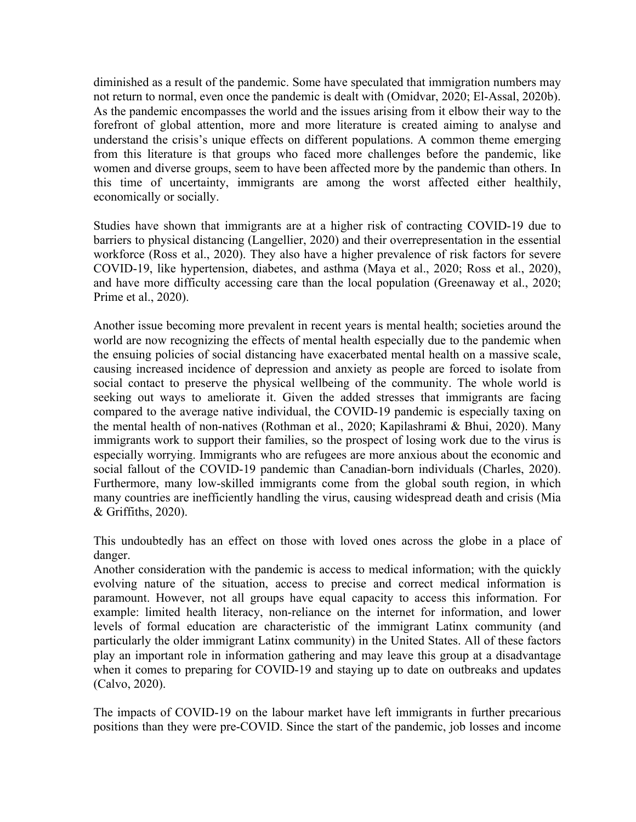diminished as a result of the pandemic. Some have speculated that immigration numbers may not return to normal, even once the pandemic is dealt with (Omidvar, 2020; El-Assal, 2020b). As the pandemic encompasses the world and the issues arising from it elbow their way to the forefront of global attention, more and more literature is created aiming to analyse and understand the crisis's unique effects on different populations. A common theme emerging from this literature is that groups who faced more challenges before the pandemic, like women and diverse groups, seem to have been affected more by the pandemic than others. In this time of uncertainty, immigrants are among the worst affected either healthily, economically or socially.

Studies have shown that immigrants are at a higher risk of contracting COVID-19 due to barriers to physical distancing (Langellier, 2020) and their overrepresentation in the essential workforce (Ross et al., 2020). They also have a higher prevalence of risk factors for severe COVID-19, like hypertension, diabetes, and asthma (Maya et al., 2020; Ross et al., 2020), and have more difficulty accessing care than the local population (Greenaway et al., 2020; Prime et al., 2020).

Another issue becoming more prevalent in recent years is mental health; societies around the world are now recognizing the effects of mental health especially due to the pandemic when the ensuing policies of social distancing have exacerbated mental health on a massive scale, causing increased incidence of depression and anxiety as people are forced to isolate from social contact to preserve the physical wellbeing of the community. The whole world is seeking out ways to ameliorate it. Given the added stresses that immigrants are facing compared to the average native individual, the COVID-19 pandemic is especially taxing on the mental health of non-natives (Rothman et al., 2020; Kapilashrami & Bhui, 2020). Many immigrants work to support their families, so the prospect of losing work due to the virus is especially worrying. Immigrants who are refugees are more anxious about the economic and social fallout of the COVID-19 pandemic than Canadian-born individuals (Charles, 2020). Furthermore, many low-skilled immigrants come from the global south region, in which many countries are inefficiently handling the virus, causing widespread death and crisis (Mia & Griffiths, 2020).

This undoubtedly has an effect on those with loved ones across the globe in a place of danger.

Another consideration with the pandemic is access to medical information; with the quickly evolving nature of the situation, access to precise and correct medical information is paramount. However, not all groups have equal capacity to access this information. For example: limited health literacy, non-reliance on the internet for information, and lower levels of formal education are characteristic of the immigrant Latinx community (and particularly the older immigrant Latinx community) in the United States. All of these factors play an important role in information gathering and may leave this group at a disadvantage when it comes to preparing for COVID-19 and staying up to date on outbreaks and updates (Calvo, 2020).

The impacts of COVID-19 on the labour market have left immigrants in further precarious positions than they were pre-COVID. Since the start of the pandemic, job losses and income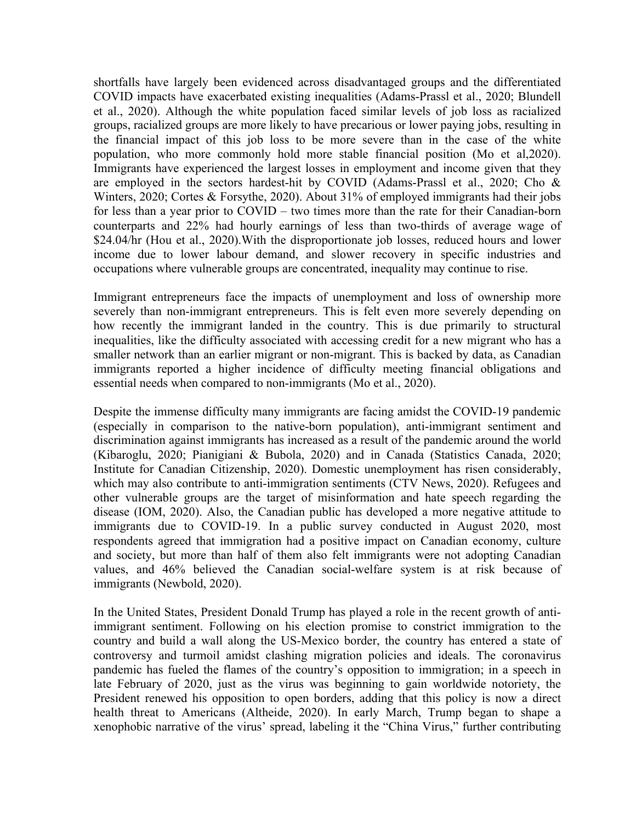shortfalls have largely been evidenced across disadvantaged groups and the differentiated COVID impacts have exacerbated existing inequalities (Adams-Prassl et al., 2020; Blundell et al., 2020). Although the white population faced similar levels of job loss as racialized groups, racialized groups are more likely to have precarious or lower paying jobs, resulting in the financial impact of this job loss to be more severe than in the case of the white population, who more commonly hold more stable financial position (Mo et al,2020). Immigrants have experienced the largest losses in employment and income given that they are employed in the sectors hardest-hit by COVID (Adams-Prassl et al., 2020; Cho & Winters, 2020; Cortes & Forsythe, 2020). About 31% of employed immigrants had their jobs for less than a year prior to COVID – two times more than the rate for their Canadian-born counterparts and 22% had hourly earnings of less than two-thirds of average wage of \$24.04/hr (Hou et al., 2020). With the disproportionate job losses, reduced hours and lower income due to lower labour demand, and slower recovery in specific industries and occupations where vulnerable groups are concentrated, inequality may continue to rise.

Immigrant entrepreneurs face the impacts of unemployment and loss of ownership more severely than non-immigrant entrepreneurs. This is felt even more severely depending on how recently the immigrant landed in the country. This is due primarily to structural inequalities, like the difficulty associated with accessing credit for a new migrant who has a smaller network than an earlier migrant or non-migrant. This is backed by data, as Canadian immigrants reported a higher incidence of difficulty meeting financial obligations and essential needs when compared to non-immigrants (Mo et al., 2020).

Despite the immense difficulty many immigrants are facing amidst the COVID-19 pandemic (especially in comparison to the native-born population), anti-immigrant sentiment and discrimination against immigrants has increased as a result of the pandemic around the world (Kibaroglu, 2020; Pianigiani & Bubola, 2020) and in Canada (Statistics Canada, 2020; Institute for Canadian Citizenship, 2020). Domestic unemployment has risen considerably, which may also contribute to anti-immigration sentiments (CTV News, 2020). Refugees and other vulnerable groups are the target of misinformation and hate speech regarding the disease (IOM, 2020). Also, the Canadian public has developed a more negative attitude to immigrants due to COVID-19. In a public survey conducted in August 2020, most respondents agreed that immigration had a positive impact on Canadian economy, culture and society, but more than half of them also felt immigrants were not adopting Canadian values, and 46% believed the Canadian social-welfare system is at risk because of immigrants (Newbold, 2020).

In the United States, President Donald Trump has played a role in the recent growth of antiimmigrant sentiment. Following on his election promise to constrict immigration to the country and build a wall along the US-Mexico border, the country has entered a state of controversy and turmoil amidst clashing migration policies and ideals. The coronavirus pandemic has fueled the flames of the country's opposition to immigration; in a speech in late February of 2020, just as the virus was beginning to gain worldwide notoriety, the President renewed his opposition to open borders, adding that this policy is now a direct health threat to Americans (Altheide, 2020). In early March, Trump began to shape a xenophobic narrative of the virus' spread, labeling it the "China Virus," further contributing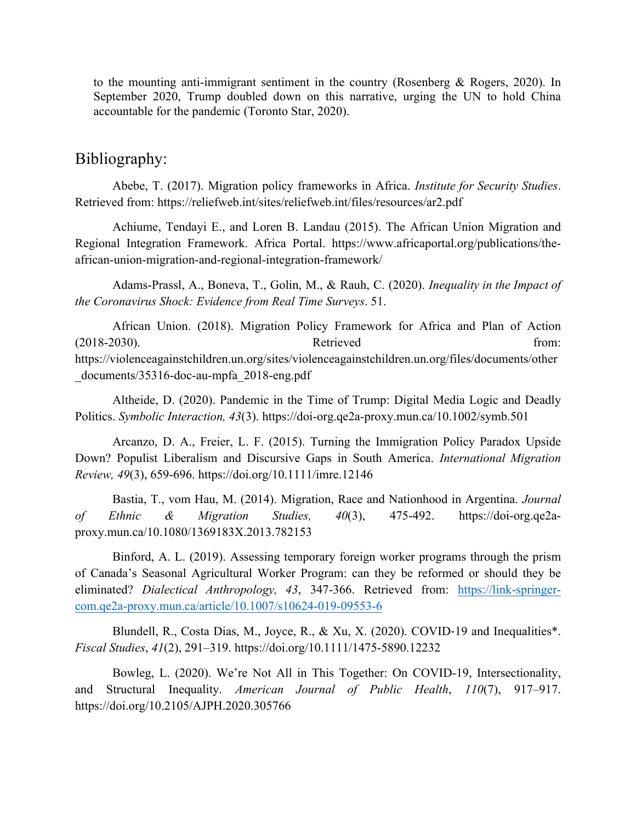to the mounting anti-immigrant sentiment in the country (Rosenberg & Rogers, 2020). In September 2020, Trump doubled down on this narrative, urging the UN to hold China accountable for the pandemic (Toronto Star, 2020).

### Bibliography:

Abebe, T. (2017). Migration policy frameworks in Africa. *Institute for Security Studies*. Retrieved from: https://reliefweb.int/sites/reliefweb.int/files/resources/ar2.pdf

Achiume, Tendayi E., and Loren B. Landau (2015). The African Union Migration and Regional Integration Framework. Africa Portal. https://www.africaportal.org/publications/theafrican-union-migration-and-regional-integration-framework/

Adams-Prassl, A., Boneva, T., Golin, M., & Rauh, C. (2020). *Inequality in the Impact of the Coronavirus Shock: Evidence from Real Time Surveys*. 51.

African Union. (2018). Migration Policy Framework for Africa and Plan of Action (2018-2030). Retrieved from: https://violenceagainstchildren.un.org/sites/violenceagainstchildren.un.org/files/documents/other \_documents/35316-doc-au-mpfa\_2018-eng.pdf

Altheide, D. (2020). Pandemic in the Time of Trump: Digital Media Logic and Deadly Politics. *Symbolic Interaction, 43*(3). https://doi-org.qe2a-proxy.mun.ca/10.1002/symb.501

Arcanzo, D. A., Freier, L. F. (2015). Turning the Immigration Policy Paradox Upside Down? Populist Liberalism and Discursive Gaps in South America. *International Migration Review, 49*(3), 659-696. https://doi.org/10.1111/imre.12146

Bastia, T., vom Hau, M. (2014). Migration, Race and Nationhood in Argentina. *Journal of Ethnic & Migration Studies, 40*(3), 475-492. https://doi-org.qe2aproxy.mun.ca/10.1080/1369183X.2013.782153

Binford, A. L. (2019). Assessing temporary foreign worker programs through the prism of Canada's Seasonal Agricultural Worker Program: can they be reformed or should they be eliminated? *Dialectical Anthropology, 43*, 347-366. Retrieved from: https://link-springercom.qe2a-proxy.mun.ca/article/10.1007/s10624-019-09553-6

Blundell, R., Costa Dias, M., Joyce, R., & Xu, X. (2020). COVID-19 and Inequalities\*. *Fiscal Studies*, *41*(2), 291–319. https://doi.org/10.1111/1475-5890.12232

Bowleg, L. (2020). We're Not All in This Together: On COVID-19, Intersectionality, and Structural Inequality. *American Journal of Public Health*, *110*(7), 917–917. https://doi.org/10.2105/AJPH.2020.305766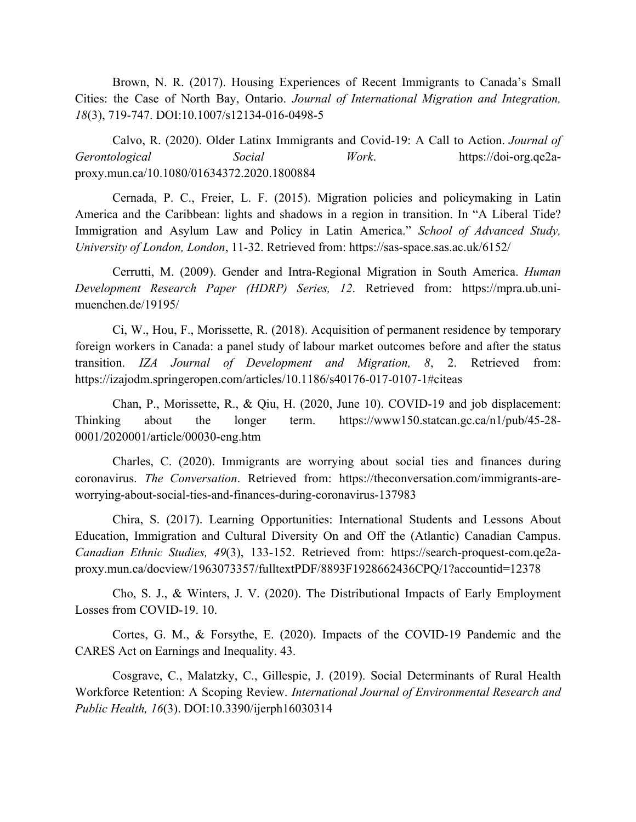Brown, N. R. (2017). Housing Experiences of Recent Immigrants to Canada's Small Cities: the Case of North Bay, Ontario. *Journal of International Migration and Integration, 18*(3), 719-747. DOI:10.1007/s12134-016-0498-5

Calvo, R. (2020). Older Latinx Immigrants and Covid-19: A Call to Action. *Journal of Gerontological Social Work*. https://doi-org.qe2aproxy.mun.ca/10.1080/01634372.2020.1800884

Cernada, P. C., Freier, L. F. (2015). Migration policies and policymaking in Latin America and the Caribbean: lights and shadows in a region in transition. In "A Liberal Tide? Immigration and Asylum Law and Policy in Latin America." *School of Advanced Study, University of London, London*, 11-32. Retrieved from: https://sas-space.sas.ac.uk/6152/

Cerrutti, M. (2009). Gender and Intra-Regional Migration in South America. *Human Development Research Paper (HDRP) Series, 12*. Retrieved from: https://mpra.ub.unimuenchen.de/19195/

Ci, W., Hou, F., Morissette, R. (2018). Acquisition of permanent residence by temporary foreign workers in Canada: a panel study of labour market outcomes before and after the status transition. *IZA Journal of Development and Migration, 8*, 2. Retrieved from: https://izajodm.springeropen.com/articles/10.1186/s40176-017-0107-1#citeas

Chan, P., Morissette, R., & Qiu, H. (2020, June 10). COVID-19 and job displacement: Thinking about the longer term. https://www150.statcan.gc.ca/n1/pub/45-28- 0001/2020001/article/00030-eng.htm

Charles, C. (2020). Immigrants are worrying about social ties and finances during coronavirus. *The Conversation*. Retrieved from: https://theconversation.com/immigrants-areworrying-about-social-ties-and-finances-during-coronavirus-137983

Chira, S. (2017). Learning Opportunities: International Students and Lessons About Education, Immigration and Cultural Diversity On and Off the (Atlantic) Canadian Campus. *Canadian Ethnic Studies, 49*(3), 133-152. Retrieved from: https://search-proquest-com.qe2aproxy.mun.ca/docview/1963073357/fulltextPDF/8893F1928662436CPQ/1?accountid=12378

Cho, S. J., & Winters, J. V. (2020). The Distributional Impacts of Early Employment Losses from COVID-19. 10.

Cortes, G. M., & Forsythe, E. (2020). Impacts of the COVID-19 Pandemic and the CARES Act on Earnings and Inequality. 43.

Cosgrave, C., Malatzky, C., Gillespie, J. (2019). Social Determinants of Rural Health Workforce Retention: A Scoping Review. *International Journal of Environmental Research and Public Health, 16*(3). DOI:10.3390/ijerph16030314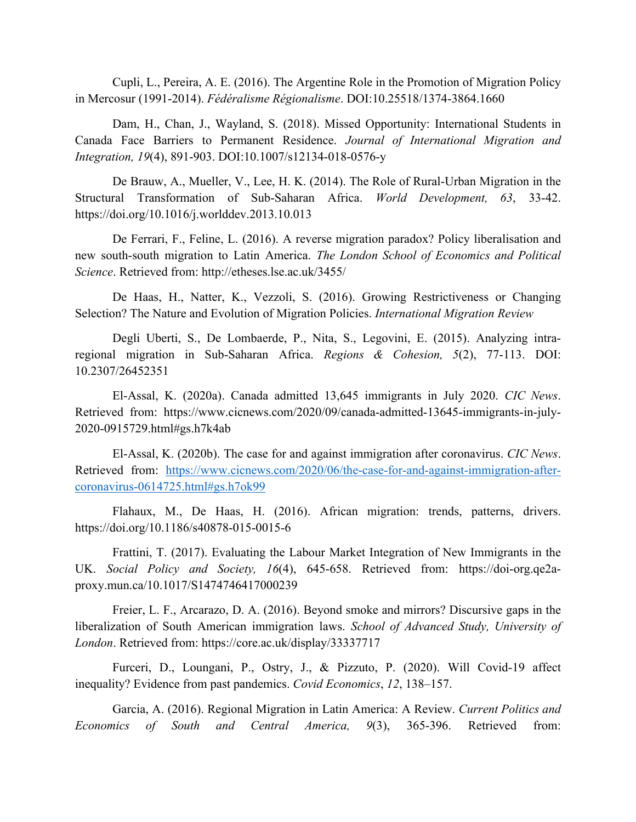Cupli, L., Pereira, A. E. (2016). The Argentine Role in the Promotion of Migration Policy in Mercosur (1991-2014). *Fédéralisme Régionalisme*. DOI:10.25518/1374-3864.1660

Dam, H., Chan, J., Wayland, S. (2018). Missed Opportunity: International Students in Canada Face Barriers to Permanent Residence. *Journal of International Migration and Integration, 19*(4), 891-903. DOI:10.1007/s12134-018-0576-y

De Brauw, A., Mueller, V., Lee, H. K. (2014). The Role of Rural-Urban Migration in the Structural Transformation of Sub-Saharan Africa. *World Development, 63*, 33-42. https://doi.org/10.1016/j.worlddev.2013.10.013

De Ferrari, F., Feline, L. (2016). A reverse migration paradox? Policy liberalisation and new south-south migration to Latin America. *The London School of Economics and Political Science*. Retrieved from: http://etheses.lse.ac.uk/3455/

De Haas, H., Natter, K., Vezzoli, S. (2016). Growing Restrictiveness or Changing Selection? The Nature and Evolution of Migration Policies. *International Migration Review*

Degli Uberti, S., De Lombaerde, P., Nita, S., Legovini, E. (2015). Analyzing intraregional migration in Sub-Saharan Africa. *Regions & Cohesion, 5*(2), 77-113. DOI: 10.2307/26452351

El-Assal, K. (2020a). Canada admitted 13,645 immigrants in July 2020. *CIC News*. Retrieved from: https://www.cicnews.com/2020/09/canada-admitted-13645-immigrants-in-july-2020-0915729.html#gs.h7k4ab

El-Assal, K. (2020b). The case for and against immigration after coronavirus. *CIC News*. Retrieved from: https://www.cicnews.com/2020/06/the-case-for-and-against-immigration-aftercoronavirus-0614725.html#gs.h7ok99

Flahaux, M., De Haas, H. (2016). African migration: trends, patterns, drivers. https://doi.org/10.1186/s40878-015-0015-6

Frattini, T. (2017). Evaluating the Labour Market Integration of New Immigrants in the UK. *Social Policy and Society, 16*(4), 645-658. Retrieved from: https://doi-org.qe2aproxy.mun.ca/10.1017/S1474746417000239

Freier, L. F., Arcarazo, D. A. (2016). Beyond smoke and mirrors? Discursive gaps in the liberalization of South American immigration laws. *School of Advanced Study, University of London*. Retrieved from: https://core.ac.uk/display/33337717

Furceri, D., Loungani, P., Ostry, J., & Pizzuto, P. (2020). Will Covid-19 affect inequality? Evidence from past pandemics. *Covid Economics*, *12*, 138–157.

Garcia, A. (2016). Regional Migration in Latin America: A Review. *Current Politics and Economics of South and Central America, 9*(3), 365-396. Retrieved from: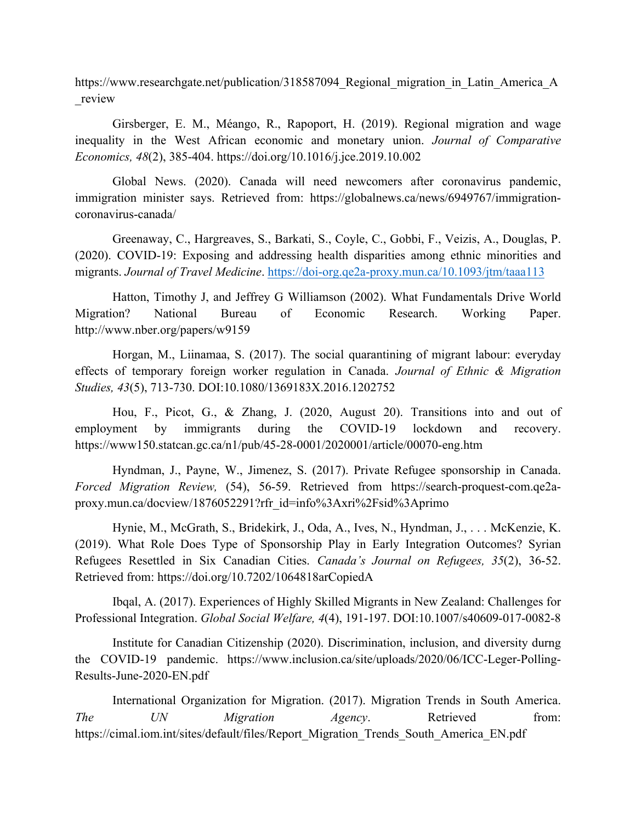https://www.researchgate.net/publication/318587094 Regional migration in Latin America A \_review

Girsberger, E. M., Méango, R., Rapoport, H. (2019). Regional migration and wage inequality in the West African economic and monetary union. *Journal of Comparative Economics, 48*(2), 385-404. https://doi.org/10.1016/j.jce.2019.10.002

Global News. (2020). Canada will need newcomers after coronavirus pandemic, immigration minister says. Retrieved from: https://globalnews.ca/news/6949767/immigrationcoronavirus-canada/

Greenaway, C., Hargreaves, S., Barkati, S., Coyle, C., Gobbi, F., Veizis, A., Douglas, P. (2020). COVID-19: Exposing and addressing health disparities among ethnic minorities and migrants. *Journal of Travel Medicine*. https://doi-org.qe2a-proxy.mun.ca/10.1093/jtm/taaa113

Hatton, Timothy J, and Jeffrey G Williamson (2002). What Fundamentals Drive World Migration? National Bureau of Economic Research. Working Paper. http://www.nber.org/papers/w9159

Horgan, M., Liinamaa, S. (2017). The social quarantining of migrant labour: everyday effects of temporary foreign worker regulation in Canada. *Journal of Ethnic & Migration Studies, 43*(5), 713-730. DOI:10.1080/1369183X.2016.1202752

Hou, F., Picot, G., & Zhang, J. (2020, August 20). Transitions into and out of employment by immigrants during the COVID-19 lockdown and recovery. https://www150.statcan.gc.ca/n1/pub/45-28-0001/2020001/article/00070-eng.htm

Hyndman, J., Payne, W., Jimenez, S. (2017). Private Refugee sponsorship in Canada. *Forced Migration Review,* (54), 56-59. Retrieved from https://search-proquest-com.qe2aproxy.mun.ca/docview/1876052291?rfr\_id=info%3Axri%2Fsid%3Aprimo

Hynie, M., McGrath, S., Bridekirk, J., Oda, A., Ives, N., Hyndman, J., . . . McKenzie, K. (2019). What Role Does Type of Sponsorship Play in Early Integration Outcomes? Syrian Refugees Resettled in Six Canadian Cities. *Canada's Journal on Refugees, 35*(2), 36-52. Retrieved from: https://doi.org/10.7202/1064818arCopiedA

Ibqal, A. (2017). Experiences of Highly Skilled Migrants in New Zealand: Challenges for Professional Integration. *Global Social Welfare, 4*(4), 191-197. DOI:10.1007/s40609-017-0082-8

Institute for Canadian Citizenship (2020). Discrimination, inclusion, and diversity durng the COVID-19 pandemic. https://www.inclusion.ca/site/uploads/2020/06/ICC-Leger-Polling-Results-June-2020-EN.pdf

International Organization for Migration. (2017). Migration Trends in South America. *The UN Migration Agency*. Retrieved from: https://cimal.iom.int/sites/default/files/Report\_Migration\_Trends\_South\_America\_EN.pdf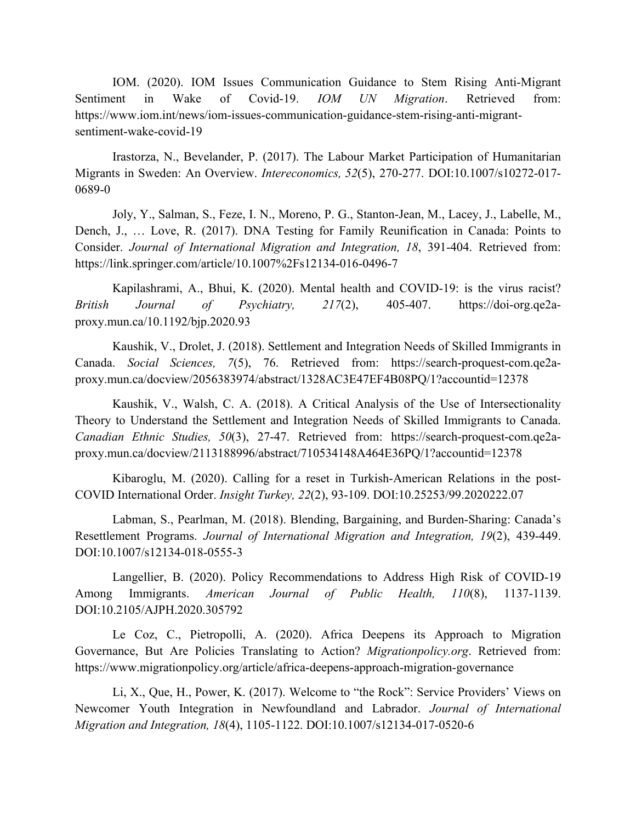IOM. (2020). IOM Issues Communication Guidance to Stem Rising Anti-Migrant Sentiment in Wake of Covid-19. *IOM UN Migration*. Retrieved from: https://www.iom.int/news/iom-issues-communication-guidance-stem-rising-anti-migrantsentiment-wake-covid-19

Irastorza, N., Bevelander, P. (2017). The Labour Market Participation of Humanitarian Migrants in Sweden: An Overview. *Intereconomics, 52*(5), 270-277. DOI:10.1007/s10272-017- 0689-0

Joly, Y., Salman, S., Feze, I. N., Moreno, P. G., Stanton-Jean, M., Lacey, J., Labelle, M., Dench, J., … Love, R. (2017). DNA Testing for Family Reunification in Canada: Points to Consider. *Journal of International Migration and Integration, 18*, 391-404. Retrieved from: https://link.springer.com/article/10.1007%2Fs12134-016-0496-7

Kapilashrami, A., Bhui, K. (2020). Mental health and COVID-19: is the virus racist? *British Journal of Psychiatry, 217*(2), 405-407. https://doi-org.qe2aproxy.mun.ca/10.1192/bjp.2020.93

Kaushik, V., Drolet, J. (2018). Settlement and Integration Needs of Skilled Immigrants in Canada. *Social Sciences, 7*(5), 76. Retrieved from: https://search-proquest-com.qe2aproxy.mun.ca/docview/2056383974/abstract/1328AC3E47EF4B08PQ/1?accountid=12378

Kaushik, V., Walsh, C. A. (2018). A Critical Analysis of the Use of Intersectionality Theory to Understand the Settlement and Integration Needs of Skilled Immigrants to Canada. *Canadian Ethnic Studies, 50*(3), 27-47. Retrieved from: https://search-proquest-com.qe2aproxy.mun.ca/docview/2113188996/abstract/710534148A464E36PQ/1?accountid=12378

Kibaroglu, M. (2020). Calling for a reset in Turkish-American Relations in the post-COVID International Order. *Insight Turkey, 22*(2), 93-109. DOI:10.25253/99.2020222.07

Labman, S., Pearlman, M. (2018). Blending, Bargaining, and Burden-Sharing: Canada's Resettlement Programs. *Journal of International Migration and Integration, 19*(2), 439-449. DOI:10.1007/s12134-018-0555-3

Langellier, B. (2020). Policy Recommendations to Address High Risk of COVID-19 Among Immigrants. *American Journal of Public Health, 110*(8), 1137-1139. DOI:10.2105/AJPH.2020.305792

Le Coz, C., Pietropolli, A. (2020). Africa Deepens its Approach to Migration Governance, But Are Policies Translating to Action? *Migrationpolicy.org*. Retrieved from: https://www.migrationpolicy.org/article/africa-deepens-approach-migration-governance

Li, X., Que, H., Power, K. (2017). Welcome to "the Rock": Service Providers' Views on Newcomer Youth Integration in Newfoundland and Labrador. *Journal of International Migration and Integration, 18*(4), 1105-1122. DOI:10.1007/s12134-017-0520-6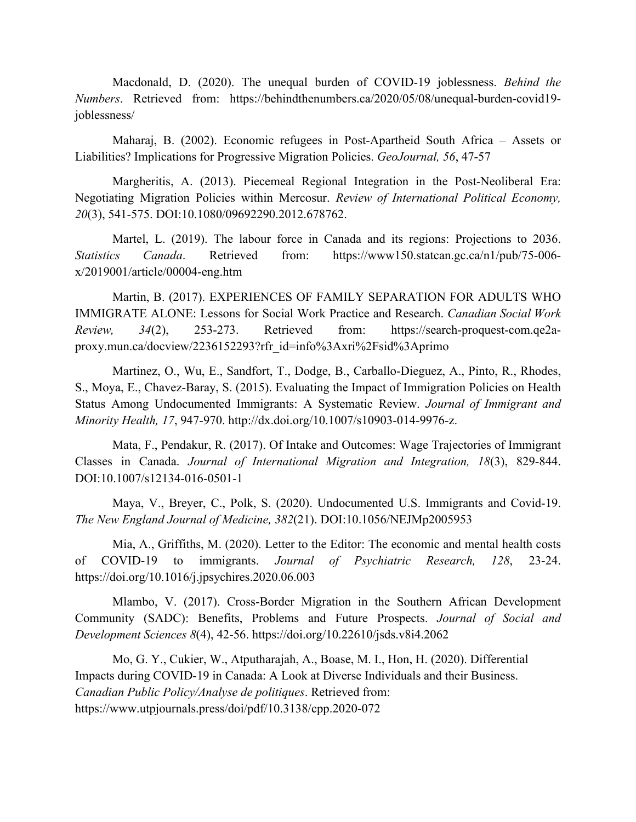Macdonald, D. (2020). The unequal burden of COVID-19 joblessness. *Behind the Numbers*. Retrieved from: https://behindthenumbers.ca/2020/05/08/unequal-burden-covid19 joblessness/

Maharaj, B. (2002). Economic refugees in Post-Apartheid South Africa – Assets or Liabilities? Implications for Progressive Migration Policies. *GeoJournal, 56*, 47-57

Margheritis, A. (2013). Piecemeal Regional Integration in the Post-Neoliberal Era: Negotiating Migration Policies within Mercosur. *Review of International Political Economy, 20*(3), 541-575. DOI:10.1080/09692290.2012.678762.

Martel, L. (2019). The labour force in Canada and its regions: Projections to 2036. *Statistics Canada*. Retrieved from: https://www150.statcan.gc.ca/n1/pub/75-006 x/2019001/article/00004-eng.htm

Martin, B. (2017). EXPERIENCES OF FAMILY SEPARATION FOR ADULTS WHO IMMIGRATE ALONE: Lessons for Social Work Practice and Research. *Canadian Social Work Review, 34*(2), 253-273. Retrieved from: https://search-proquest-com.qe2aproxy.mun.ca/docview/2236152293?rfr\_id=info%3Axri%2Fsid%3Aprimo

Martinez, O., Wu, E., Sandfort, T., Dodge, B., Carballo-Dieguez, A., Pinto, R., Rhodes, S., Moya, E., Chavez-Baray, S. (2015). Evaluating the Impact of Immigration Policies on Health Status Among Undocumented Immigrants: A Systematic Review. *Journal of Immigrant and Minority Health, 17*, 947-970. http://dx.doi.org/10.1007/s10903-014-9976-z.

Mata, F., Pendakur, R. (2017). Of Intake and Outcomes: Wage Trajectories of Immigrant Classes in Canada. *Journal of International Migration and Integration, 18*(3), 829-844. DOI:10.1007/s12134-016-0501-1

Maya, V., Breyer, C., Polk, S. (2020). Undocumented U.S. Immigrants and Covid-19. *The New England Journal of Medicine, 382*(21). DOI:10.1056/NEJMp2005953

Mia, A., Griffiths, M. (2020). Letter to the Editor: The economic and mental health costs of COVID-19 to immigrants. *Journal of Psychiatric Research, 128*, 23-24. https://doi.org/10.1016/j.jpsychires.2020.06.003

Mlambo, V. (2017). Cross-Border Migration in the Southern African Development Community (SADC): Benefits, Problems and Future Prospects. *Journal of Social and Development Sciences 8*(4), 42-56. https://doi.org/10.22610/jsds.v8i4.2062

Mo, G. Y., Cukier, W., Atputharajah, A., Boase, M. I., Hon, H. (2020). Differential Impacts during COVID-19 in Canada: A Look at Diverse Individuals and their Business. *Canadian Public Policy/Analyse de politiques*. Retrieved from: https://www.utpjournals.press/doi/pdf/10.3138/cpp.2020-072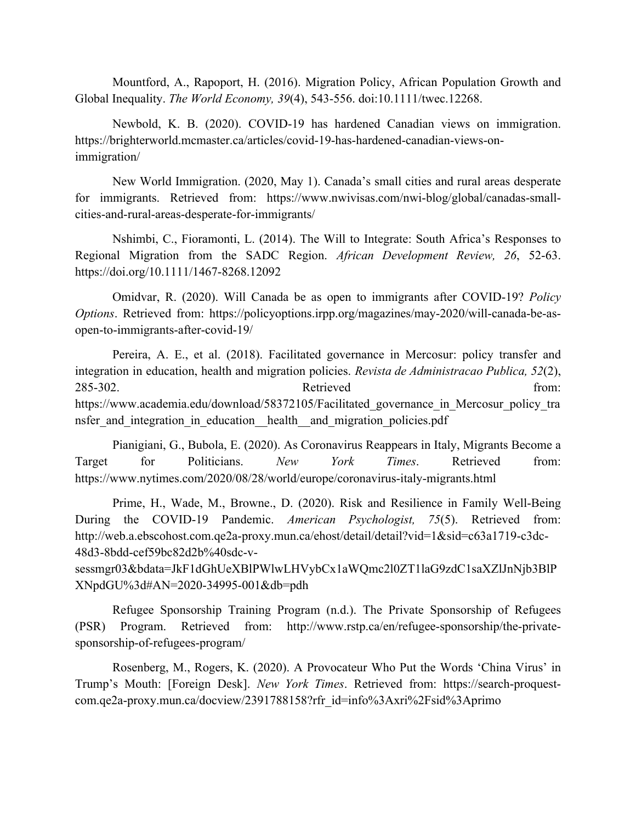Mountford, A., Rapoport, H. (2016). Migration Policy, African Population Growth and Global Inequality. *The World Economy, 39*(4), 543-556. doi:10.1111/twec.12268.

Newbold, K. B. (2020). COVID-19 has hardened Canadian views on immigration. https://brighterworld.mcmaster.ca/articles/covid-19-has-hardened-canadian-views-onimmigration/

New World Immigration. (2020, May 1). Canada's small cities and rural areas desperate for immigrants. Retrieved from: https://www.nwivisas.com/nwi-blog/global/canadas-smallcities-and-rural-areas-desperate-for-immigrants/

Nshimbi, C., Fioramonti, L. (2014). The Will to Integrate: South Africa's Responses to Regional Migration from the SADC Region. *African Development Review, 26*, 52-63. https://doi.org/10.1111/1467-8268.12092

Omidvar, R. (2020). Will Canada be as open to immigrants after COVID-19? *Policy Options*. Retrieved from: https://policyoptions.irpp.org/magazines/may-2020/will-canada-be-asopen-to-immigrants-after-covid-19/

Pereira, A. E., et al. (2018). Facilitated governance in Mercosur: policy transfer and integration in education, health and migration policies. *Revista de Administracao Publica, 52*(2), 285-302. From: Retrieved from: https://www.academia.edu/download/58372105/Facilitated governance in Mercosur policy tra nsfer and integration in education health and migration policies.pdf

Pianigiani, G., Bubola, E. (2020). As Coronavirus Reappears in Italy, Migrants Become a Target for Politicians. *New York Times*. Retrieved from: https://www.nytimes.com/2020/08/28/world/europe/coronavirus-italy-migrants.html

Prime, H., Wade, M., Browne., D. (2020). Risk and Resilience in Family Well-Being During the COVID-19 Pandemic. *American Psychologist, 75*(5). Retrieved from: http://web.a.ebscohost.com.qe2a-proxy.mun.ca/ehost/detail/detail?vid=1&sid=c63a1719-c3dc-48d3-8bdd-cef59bc82d2b%40sdc-v-

sessmgr03&bdata=JkF1dGhUeXBlPWlwLHVybCx1aWQmc2l0ZT1laG9zdC1saXZlJnNjb3BlP XNpdGU%3d#AN=2020-34995-001&db=pdh

Refugee Sponsorship Training Program (n.d.). The Private Sponsorship of Refugees (PSR) Program. Retrieved from: http://www.rstp.ca/en/refugee-sponsorship/the-privatesponsorship-of-refugees-program/

Rosenberg, M., Rogers, K. (2020). A Provocateur Who Put the Words 'China Virus' in Trump's Mouth: [Foreign Desk]. *New York Times*. Retrieved from: https://search-proquestcom.qe2a-proxy.mun.ca/docview/2391788158?rfr\_id=info%3Axri%2Fsid%3Aprimo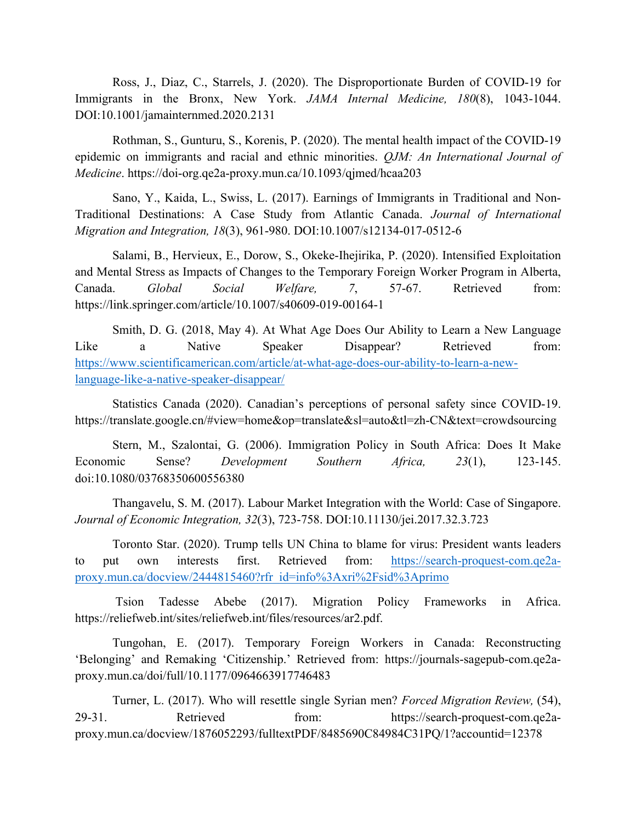Ross, J., Diaz, C., Starrels, J. (2020). The Disproportionate Burden of COVID-19 for Immigrants in the Bronx, New York. *JAMA Internal Medicine, 180*(8), 1043-1044. DOI:10.1001/jamainternmed.2020.2131

Rothman, S., Gunturu, S., Korenis, P. (2020). The mental health impact of the COVID-19 epidemic on immigrants and racial and ethnic minorities. *QJM: An International Journal of Medicine*. https://doi-org.qe2a-proxy.mun.ca/10.1093/qjmed/hcaa203

Sano, Y., Kaida, L., Swiss, L. (2017). Earnings of Immigrants in Traditional and Non-Traditional Destinations: A Case Study from Atlantic Canada. *Journal of International Migration and Integration, 18*(3), 961-980. DOI:10.1007/s12134-017-0512-6

Salami, B., Hervieux, E., Dorow, S., Okeke-Ihejirika, P. (2020). Intensified Exploitation and Mental Stress as Impacts of Changes to the Temporary Foreign Worker Program in Alberta, Canada. *Global Social Welfare, 7*, 57-67. Retrieved from: https://link.springer.com/article/10.1007/s40609-019-00164-1

Smith, D. G. (2018, May 4). At What Age Does Our Ability to Learn a New Language Like a Native Speaker Disappear? Retrieved from: https://www.scientificamerican.com/article/at-what-age-does-our-ability-to-learn-a-newlanguage-like-a-native-speaker-disappear/

 Statistics Canada (2020). Canadian's perceptions of personal safety since COVID-19. https://translate.google.cn/#view=home&op=translate&sl=auto&tl=zh-CN&text=crowdsourcing

Stern, M., Szalontai, G. (2006). Immigration Policy in South Africa: Does It Make Economic Sense? *Development Southern Africa, 23*(1), 123-145. doi:10.1080/03768350600556380

Thangavelu, S. M. (2017). Labour Market Integration with the World: Case of Singapore. *Journal of Economic Integration, 32*(3), 723-758. DOI:10.11130/jei.2017.32.3.723

Toronto Star. (2020). Trump tells UN China to blame for virus: President wants leaders to put own interests first. Retrieved from: https://search-proquest-com.qe2aproxy.mun.ca/docview/2444815460?rfr\_id=info%3Axri%2Fsid%3Aprimo

 Tsion Tadesse Abebe (2017). Migration Policy Frameworks in Africa. https://reliefweb.int/sites/reliefweb.int/files/resources/ar2.pdf.

Tungohan, E. (2017). Temporary Foreign Workers in Canada: Reconstructing 'Belonging' and Remaking 'Citizenship.' Retrieved from: https://journals-sagepub-com.qe2aproxy.mun.ca/doi/full/10.1177/0964663917746483

Turner, L. (2017). Who will resettle single Syrian men? *Forced Migration Review,* (54), 29-31. Retrieved from: https://search-proquest-com.qe2aproxy.mun.ca/docview/1876052293/fulltextPDF/8485690C84984C31PQ/1?accountid=12378